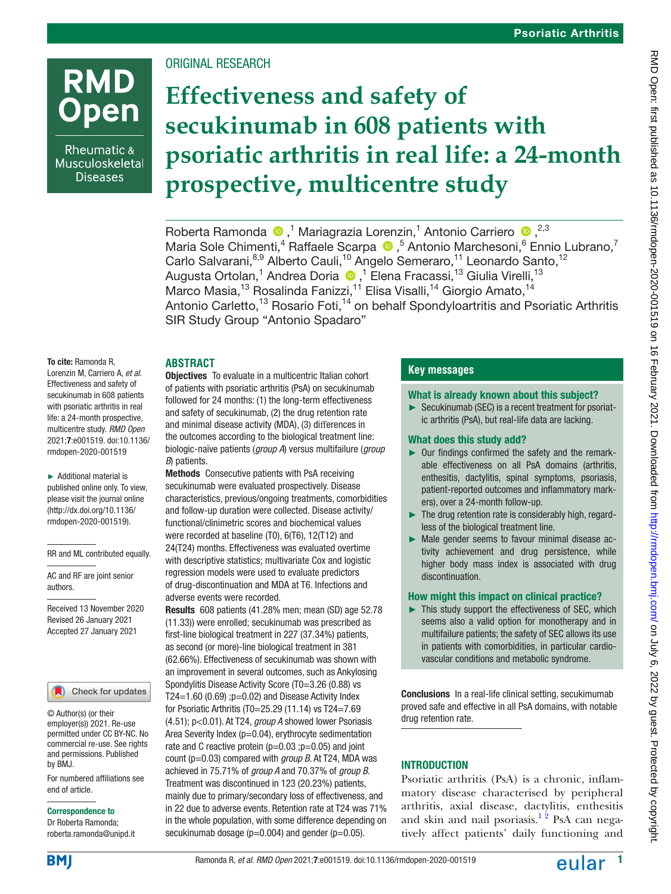# **RMD Open**

Rheumatic & Musculoskeletal **Diseases** 

ORIGINAL RESEARCH

# **Effectiveness and safety of secukinumab in 608 patients with psoriatic arthritis in real life: a 24-month prospective, multicentre study**

Roberta Ramonda <sup>®</sup>,<sup>1</sup> Mariagrazia Lorenzin,<sup>1</sup> Antonio Carriero <sup>®</sup>,<sup>2,3</sup> MariaSole Chimenti,<sup>4</sup> Raffaele Scarpa <sup>1</sup>,<sup>5</sup> Antonio Marchesoni,<sup>6</sup> Ennio Lubrano,<sup>7</sup> Carlo Salvarani, 8,9 Alberto Cauli, <sup>10</sup> Angelo Semeraro, <sup>11</sup> Leonardo Santo, <sup>12</sup> AugustaOrtolan,<sup>1</sup> Andrea Doria ®,<sup>1</sup> Elena Fracassi,<sup>13</sup> Giulia Virelli,<sup>13</sup> Marco Masia,<sup>13</sup> Rosalinda Fanizzi,<sup>11</sup> Elisa Visalli,<sup>14</sup> Giorgio Amato,<sup>14</sup> Antonio Carletto,<sup>13</sup> Rosario Foti,<sup>14</sup> on behalf Spondyloartritis and Psoriatic Arthritis SIR Study Group "Antonio Spadaro"

# **ABSTRACT**

To cite: Ramonda R, Lorenzin M, Carriero A, *et al*. Effectiveness and safety of secukinumab in 608 patients with psoriatic arthritis in real life: a 24-month prospective, multicentre study. *RMD Open* 2021;7:e001519. doi:10.1136/ rmdopen-2020-001519

► Additional material is published online only. To view, please visit the journal online (http://dx.doi.org/10.1136/ rmdopen-2020-001519).

RR and ML contributed equally.

AC and RF are joint senior authors.

Received 13 November 2020 Revised 26 January 2021 Accepted 27 January 2021

# Check for updates

© Author(s) (or their employer(s)) 2021. Re-use permitted under CC BY-NC. No commercial re-use. See rights and permissions. Published by BMJ.

For numbered affiliations see end of article.

#### Correspondence to

Dr Roberta Ramonda; roberta.ramonda@unipd.it **Objectives** To evaluate in a multicentric Italian cohort of patients with psoriatic arthritis (PsA) on secukinumab followed for 24 months: (1) the long-term effectiveness and safety of secukinumab, (2) the drug retention rate and minimal disease activity (MDA), (3) differences in the outcomes according to the biological treatment line: biologic-naïve patients (*group A*) versus multifailure (*group B*) patients.

Methods Consecutive patients with PsA receiving secukinumab were evaluated prospectively. Disease characteristics, previous/ongoing treatments, comorbidities and follow-up duration were collected. Disease activity/ functional/clinimetric scores and biochemical values were recorded at baseline (T0), 6(T6), 12(T12) and 24(T24) months. Effectiveness was evaluated overtime with descriptive statistics: multivariate Cox and logistic regression models were used to evaluate predictors of drug-discontinuation and MDA at T6. Infections and adverse events were recorded.

Results 608 patients (41.28% men; mean (SD) age 52.78 (11.33)) were enrolled; secukinumab was prescribed as first-line biological treatment in 227 (37.34%) patients, as second (or more)-line biological treatment in 381 (62.66%). Effectiveness of secukinumab was shown with an improvement in several outcomes, such as Ankylosing Spondylitis Disease Activity Score (T0=3.26 (0.88) vs T24=1.60  $(0.69)$ ;  $p=0.02$ ) and Disease Activity Index for Psoriatic Arthritis (T0=25.29 (11.14) vs T24=7.69 (4.51); p<0.01). At T24, *group A* showed lower Psoriasis Area Severity Index (p=0.04), erythrocyte sedimentation rate and C reactive protein  $(p=0.03 ; p=0.05)$  and joint count (p=0.03) compared with *group B*. At T24, MDA was achieved in 75.71% of *group A* and 70.37% of *group B*. Treatment was discontinued in 123 (20.23%) patients, mainly due to primary/secondary loss of effectiveness, and in 22 due to adverse events. Retention rate at T24 was 71% in the whole population, with some difference depending on secukinumab dosage ( $p=0.004$ ) and gender ( $p=0.05$ ).

# **Key messages**

#### What is already known about this subject?

► Secukinumab (SEC) is a recent treatment for psoriatic arthritis (PsA), but real-life data are lacking.

#### What does this study add?

- Our findings confirmed the safety and the remarkable effectiveness on all PsA domains (arthritis, enthesitis, dactylitis, spinal symptoms, psoriasis, patient-reported outcomes and inflammatory markers), over a 24-month follow-up.
- $\blacktriangleright$  The drug retention rate is considerably high, regardless of the biological treatment line.
- ► Male gender seems to favour minimal disease activity achievement and drug persistence, while higher body mass index is associated with drug discontinuation.

#### How might this impact on clinical practice?

► This study support the effectiveness of SEC, which seems also a valid option for monotherapy and in multifailure patients; the safety of SEC allows its use in patients with comorbidities, in particular cardiovascular conditions and metabolic syndrome.

**Conclusions** In a real-life clinical setting, secukimumab proved safe and effective in all PsA domains, with notable drug retention rate.

# INTRODUCTION

Psoriatic arthritis (PsA) is a chronic, inflammatory disease characterised by peripheral arthritis, axial disease, dactylitis, enthesitis and skin and nail psoriasis.<sup>12</sup> PsA can negatively affect patients' daily functioning and

**BMI**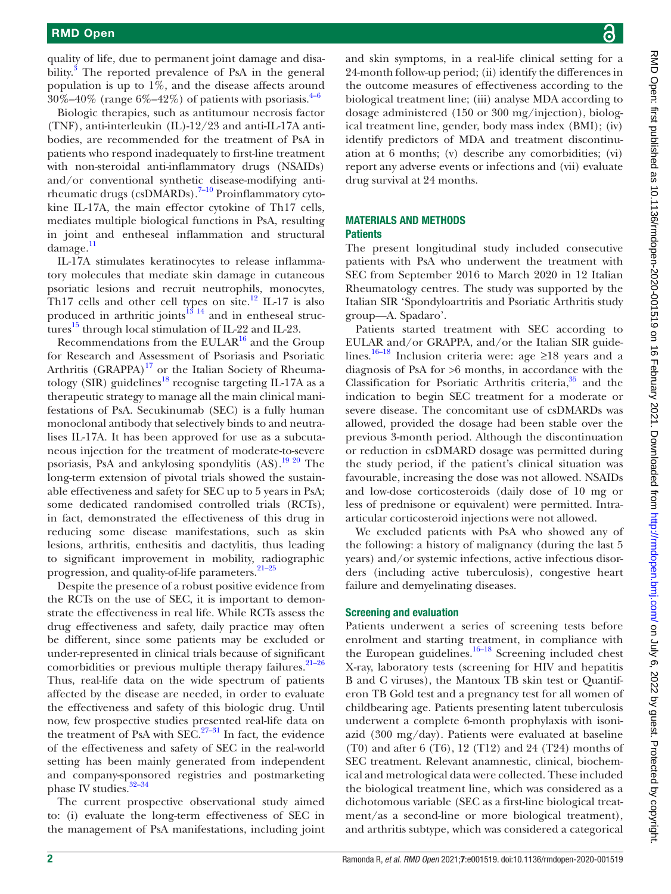quality of life, due to permanent joint damage and disability.<sup>3</sup> The reported prevalence of PsA in the general population is up to 1%, and the disease affects around  $30\% - 40\%$  (range  $6\% - 42\%$ ) of patients with psoriasis.<sup>[4–6](#page-12-2)</sup>

Biologic therapies, such as antitumour necrosis factor (TNF), anti-interleukin (IL)-12/23 and anti-IL-17A antibodies, are recommended for the treatment of PsA in patients who respond inadequately to first-line treatment with non-steroidal anti-inflammatory drugs (NSAIDs) and/or conventional synthetic disease-modifying anti-rheumatic drugs (csDMARDs).<sup>[7–10](#page-12-3)</sup> Proinflammatory cytokine IL-17A, the main effector cytokine of Th17 cells, mediates multiple biological functions in PsA, resulting in joint and entheseal inflammation and structural  $d$ amage. $11$ 

IL-17A stimulates keratinocytes to release inflammatory molecules that mediate skin damage in cutaneous psoriatic lesions and recruit neutrophils, monocytes, Th17 cells and other cell types on site.<sup>12</sup> IL-17 is also produced in arthritic joints $^{13}$ <sup>14</sup> and in entheseal struc-tures<sup>[15](#page-12-7)</sup> through local stimulation of IL-22 and IL-23.

Recommendations from the EULA $R^{16}$  and the Group for Research and Assessment of Psoriasis and Psoriatic Arthritis (GRAPPA)<sup>17</sup> or the Italian Society of Rheumatology (SIR) guidelines<sup>18</sup> recognise targeting IL-17A as a therapeutic strategy to manage all the main clinical manifestations of PsA. Secukinumab (SEC) is a fully human monoclonal antibody that selectively binds to and neutralises IL-17A. It has been approved for use as a subcutaneous injection for the treatment of moderate-to-severe psoriasis, PsA and ankylosing spondylitis  $(AS)$ .<sup>19 20</sup> The long-term extension of pivotal trials showed the sustainable effectiveness and safety for SEC up to 5 years in PsA; some dedicated randomised controlled trials (RCTs), in fact, demonstrated the effectiveness of this drug in reducing some disease manifestations, such as skin lesions, arthritis, enthesitis and dactylitis, thus leading to significant improvement in mobility, radiographic progression, and quality-of-life parameters.<sup>21-25</sup>

Despite the presence of a robust positive evidence from the RCTs on the use of SEC, it is important to demonstrate the effectiveness in real life. While RCTs assess the drug effectiveness and safety, daily practice may often be different, since some patients may be excluded or under-represented in clinical trials because of significant comorbidities or previous multiple therapy failures. $21-26$ Thus, real-life data on the wide spectrum of patients affected by the disease are needed, in order to evaluate the effectiveness and safety of this biologic drug. Until now, few prospective studies presented real-life data on the treatment of PsA with SEC. $27-31$  In fact, the evidence of the effectiveness and safety of SEC in the real-world setting has been mainly generated from independent and company-sponsored registries and postmarketing phase IV studies.<sup>32-34</sup>

The current prospective observational study aimed to: (i) evaluate the long-term effectiveness of SEC in the management of PsA manifestations, including joint

and skin symptoms, in a real-life clinical setting for a 24-month follow-up period; (ii) identify the differences in the outcome measures of effectiveness according to the biological treatment line; (iii) analyse MDA according to dosage administered (150 or 300 mg/injection), biological treatment line, gender, body mass index (BMI); (iv) identify predictors of MDA and treatment discontinuation at 6 months; (v) describe any comorbidities; (vi) report any adverse events or infections and (vii) evaluate drug survival at 24 months.

#### MATERIALS AND METHODS **Patients**

The present longitudinal study included consecutive patients with PsA who underwent the treatment with SEC from September 2016 to March 2020 in 12 Italian Rheumatology centres. The study was supported by the Italian SIR 'Spondyloartritis and Psoriatic Arthritis study group—A. Spadaro'.

Patients started treatment with SEC according to EULAR and/or GRAPPA, and/or the Italian SIR guidelines.[16–18](#page-12-8) Inclusion criteria were: age ≥18 years and a diagnosis of PsA for >6 months, in accordance with the Classification for Psoriatic Arthritis criteria,<sup>35</sup> and the indication to begin SEC treatment for a moderate or severe disease. The concomitant use of csDMARDs was allowed, provided the dosage had been stable over the previous 3-month period. Although the discontinuation or reduction in csDMARD dosage was permitted during the study period, if the patient's clinical situation was favourable, increasing the dose was not allowed. NSAIDs and low-dose corticosteroids (daily dose of 10 mg or less of prednisone or equivalent) were permitted. Intraarticular corticosteroid injections were not allowed.

We excluded patients with PsA who showed any of the following: a history of malignancy (during the last 5 years) and/or systemic infections, active infectious disorders (including active tuberculosis), congestive heart failure and demyelinating diseases.

#### Screening and evaluation

Patients underwent a series of screening tests before enrolment and starting treatment, in compliance with the European guidelines. $16-18$  Screening included chest X-ray, laboratory tests (screening for HIV and hepatitis B and C viruses), the Mantoux TB skin test or Quantiferon TB Gold test and a pregnancy test for all women of childbearing age. Patients presenting latent tuberculosis underwent a complete 6-month prophylaxis with isoniazid (300 mg/day). Patients were evaluated at baseline (T0) and after 6 (T6), 12 (T12) and 24 (T24) months of SEC treatment. Relevant anamnestic, clinical, biochemical and metrological data were collected. These included the biological treatment line, which was considered as a dichotomous variable (SEC as a first-line biological treatment/as a second-line or more biological treatment), and arthritis subtype, which was considered a categorical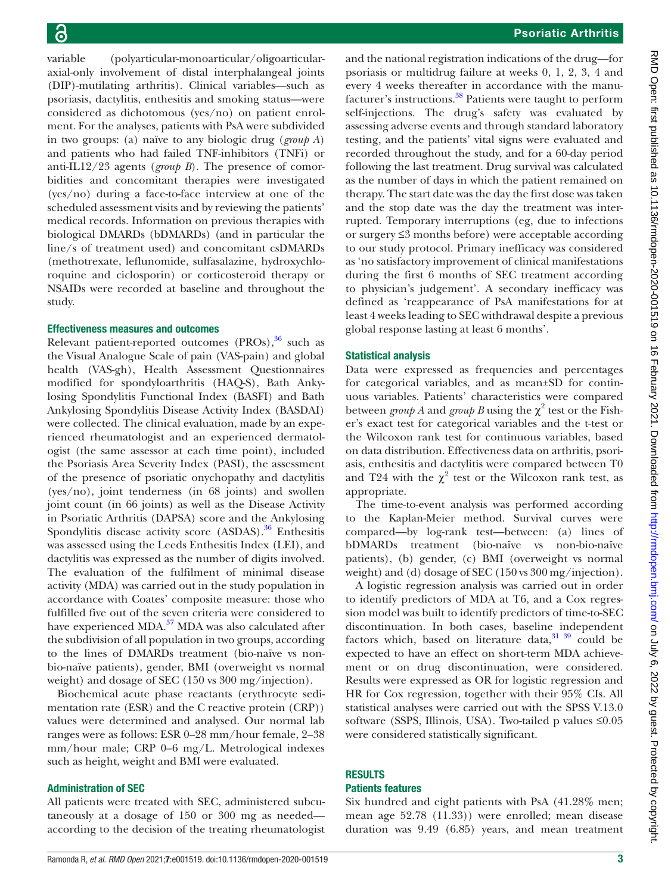variable (polyarticular-monoarticular/oligoarticularaxial-only involvement of distal interphalangeal joints (DIP)-mutilating arthritis). Clinical variables—such as psoriasis, dactylitis, enthesitis and smoking status—were considered as dichotomous (yes/no) on patient enrolment. For the analyses, patients with PsA were subdivided in two groups: (a) naïve to any biologic drug (*group A*) and patients who had failed TNF-inhibitors (TNFi) or anti-IL12/23 agents (*group B*). The presence of comorbidities and concomitant therapies were investigated (yes/no) during a face-to-face interview at one of the scheduled assessment visits and by reviewing the patients' medical records. Information on previous therapies with biological DMARDs (bDMARDs) (and in particular the line/s of treatment used) and concomitant csDMARDs (methotrexate, leflunomide, sulfasalazine, hydroxychloroquine and ciclosporin) or corticosteroid therapy or NSAIDs were recorded at baseline and throughout the study.

#### Effectiveness measures and outcomes

Relevant patient-reported outcomes  $(PROS),\frac{36}{ }$  such as the Visual Analogue Scale of pain (VAS-pain) and global health (VAS-gh), Health Assessment Questionnaires modified for spondyloarthritis (HAQ-S), Bath Ankylosing Spondylitis Functional Index (BASFI) and Bath Ankylosing Spondylitis Disease Activity Index (BASDAI) were collected. The clinical evaluation, made by an experienced rheumatologist and an experienced dermatologist (the same assessor at each time point), included the Psoriasis Area Severity Index (PASI), the assessment of the presence of psoriatic onychopathy and dactylitis (yes/no), joint tenderness (in 68 joints) and swollen joint count (in 66 joints) as well as the Disease Activity in Psoriatic Arthritis (DAPSA) score and the Ankylosing Spondylitis disease activity score  $(ASDAS)$ .<sup>36</sup> Enthesitis was assessed using the Leeds Enthesitis Index (LEI), and dactylitis was expressed as the number of digits involved. The evaluation of the fulfilment of minimal disease activity (MDA) was carried out in the study population in accordance with Coates' composite measure: those who fulfilled five out of the seven criteria were considered to have experienced MDA.<sup>37</sup> MDA was also calculated after the subdivision of all population in two groups, according to the lines of DMARDs treatment (bio-naïve vs nonbio-naïve patients), gender, BMI (overweight vs normal weight) and dosage of SEC (150 vs 300 mg/injection).

Biochemical acute phase reactants (erythrocyte sedimentation rate (ESR) and the C reactive protein (CRP)) values were determined and analysed. Our normal lab ranges were as follows: ESR 0–28 mm/hour female, 2–38 mm/hour male; CRP 0–6 mg/L. Metrological indexes such as height, weight and BMI were evaluated.

#### Administration of SEC

All patients were treated with SEC, administered subcutaneously at a dosage of 150 or 300 mg as needed according to the decision of the treating rheumatologist

and the national registration indications of the drug—for psoriasis or multidrug failure at weeks 0, 1, 2, 3, 4 and every 4 weeks thereafter in accordance with the manufacturer's instructions.<sup>38</sup> Patients were taught to perform self-injections. The drug's safety was evaluated by assessing adverse events and through standard laboratory testing, and the patients' vital signs were evaluated and recorded throughout the study, and for a 60-day period following the last treatment. Drug survival was calculated as the number of days in which the patient remained on therapy. The start date was the day the first dose was taken and the stop date was the day the treatment was interrupted. Temporary interruptions (eg, due to infections or surgery ≤3 months before) were acceptable according to our study protocol. Primary inefficacy was considered as 'no satisfactory improvement of clinical manifestations during the first 6 months of SEC treatment according to physician's judgement'. A secondary inefficacy was defined as 'reappearance of PsA manifestations for at least 4 weeks leading to SEC withdrawal despite a previous global response lasting at least 6 months'.

# Statistical analysis

Data were expressed as frequencies and percentages for categorical variables, and as mean±SD for continuous variables. Patients' characteristics were compared between *group* A and *group* B using the  $\chi^2$  test or the Fisher's exact test for categorical variables and the t-test or the Wilcoxon rank test for continuous variables, based on data distribution. Effectiveness data on arthritis, psoriasis, enthesitis and dactylitis were compared between T0 and T24 with the  $\chi^2$  test or the Wilcoxon rank test, as appropriate.

The time-to-event analysis was performed according to the Kaplan-Meier method. Survival curves were compared—by log-rank test—between: (a) lines of bDMARDs treatment (bio-naïve vs non-bio-naïve patients), (b) gender, (c) BMI (overweight vs normal weight) and (d) dosage of SEC (150 vs 300 mg/injection).

A logistic regression analysis was carried out in order to identify predictors of MDA at T6, and a Cox regression model was built to identify predictors of time-to-SEC discontinuation. In both cases, baseline independent factors which, based on literature data, $3139$  could be expected to have an effect on short-term MDA achievement or on drug discontinuation, were considered. Results were expressed as OR for logistic regression and HR for Cox regression, together with their 95% CIs. All statistical analyses were carried out with the SPSS V.13.0 software (SSPS, Illinois, USA). Two-tailed p values ≤0.05 were considered statistically significant.

# **RESULTS**

#### Patients features

Six hundred and eight patients with PsA (41.28% men; mean age 52.78 (11.33)) were enrolled; mean disease duration was 9.49 (6.85) years, and mean treatment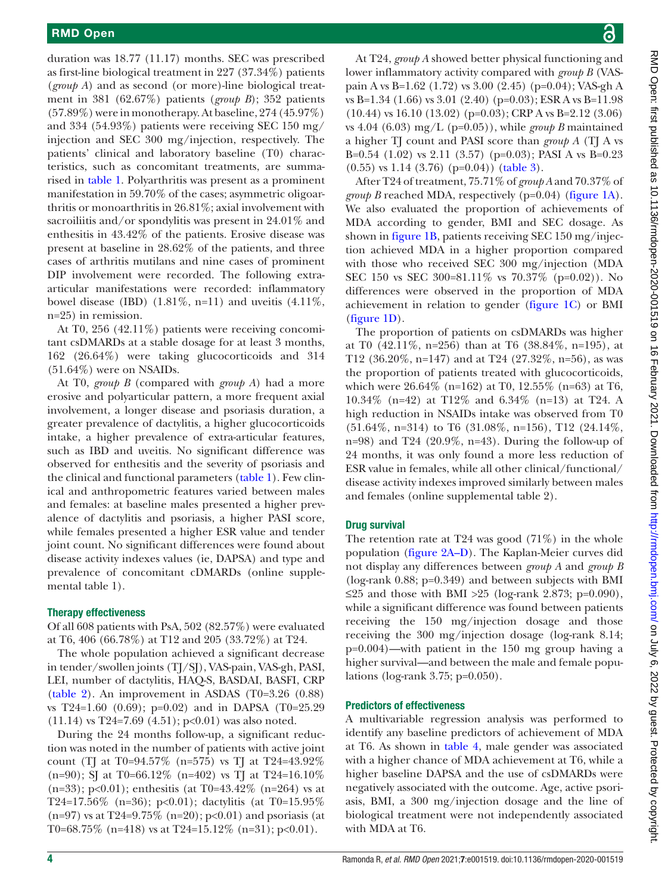duration was 18.77 (11.17) months. SEC was prescribed as first-line biological treatment in 227 (37.34%) patients (*group A*) and as second (or more)-line biological treatment in 381 (62.67%) patients (*group B*); 352 patients (57.89%) were in monotherapy. At baseline, 274 (45.97%) and 334 (54.93%) patients were receiving SEC 150 mg/ injection and SEC 300 mg/injection, respectively. The patients' clinical and laboratory baseline (T0) characteristics, such as concomitant treatments, are summarised in [table](#page-4-0) 1. Polyarthritis was present as a prominent manifestation in 59.70% of the cases; asymmetric oligoarthritis or monoarthritis in 26.81%; axial involvement with sacroiliitis and/or spondylitis was present in 24.01% and enthesitis in 43.42% of the patients. Erosive disease was present at baseline in 28.62% of the patients, and three cases of arthritis mutilans and nine cases of prominent DIP involvement were recorded. The following extraarticular manifestations were recorded: inflammatory bowel disease (IBD)  $(1.81\%, n=11)$  and uveitis  $(4.11\%,$ n=25) in remission.

At T0, 256 (42.11%) patients were receiving concomitant csDMARDs at a stable dosage for at least 3 months, 162 (26.64%) were taking glucocorticoids and 314  $(51.64\%)$  were on NSAIDs.

At T0, *group B* (compared with *group A*) had a more erosive and polyarticular pattern, a more frequent axial involvement, a longer disease and psoriasis duration, a greater prevalence of dactylitis, a higher glucocorticoids intake, a higher prevalence of extra-articular features, such as IBD and uveitis. No significant difference was observed for enthesitis and the severity of psoriasis and the clinical and functional parameters ([table](#page-4-0) 1). Few clinical and anthropometric features varied between males and females: at baseline males presented a higher prevalence of dactylitis and psoriasis, a higher PASI score, while females presented a higher ESR value and tender joint count. No significant differences were found about disease activity indexes values (ie, DAPSA) and type and prevalence of concomitant cDMARDs ([online supple](https://dx.doi.org/10.1136/rmdopen-2020-001519)[mental table 1](https://dx.doi.org/10.1136/rmdopen-2020-001519)).

#### Therapy effectiveness

Of all 608 patients with PsA, 502 (82.57%) were evaluated at T6, 406 (66.78%) at T12 and 205 (33.72%) at T24.

The whole population achieved a significant decrease in tender/swollen joints (TJ/SJ), VAS-pain, VAS-gh, PASI, LEI, number of dactylitis, HAQ-S, BASDAI, BASFI, CRP [\(table](#page-5-0) 2). An improvement in ASDAS  $(T0=3.26)$   $(0.88)$ vs T24=1.60 (0.69); p=0.02) and in DAPSA (T0=25.29  $(11.14)$  vs T24=7.69  $(4.51)$ ; p<0.01) was also noted.

During the 24 months follow-up, a significant reduction was noted in the number of patients with active joint count (TJ at T0=94.57% (n=575) vs TJ at T24=43.92% (n=90); SJ at T0=66.12% (n=402) vs TJ at T24=16.10%  $(n=33); p<0.01);$  enthesitis (at T0=43.42\% (n=264) vs at T24=17.56% (n=36); p<0.01); dactylitis (at T0=15.95%  $(n=97)$  vs at T24=9.75%  $(n=20)$ ; p<0.01) and psoriasis (at T0=68.75% (n=418) vs at T24=15.12% (n=31); p<0.01).

At T24, *group A* showed better physical functioning and lower inflammatory activity compared with *group B* (VASpain A vs B=1.62 (1.72) vs 3.00 (2.45) (p=0.04); VAS-gh A vs B=1.34 (1.66) vs 3.01 (2.40) (p=0.03); ESR A vs B=11.98 (10.44) vs 16.10 (13.02) (p=0.03); CRP A vs B=2.12 (3.06) vs 4.04 (6.03) mg/L ( $p=0.05$ )), while *group B* maintained a higher TJ count and PASI score than *group A* (TJ A vs B=0.54 (1.02) vs 2.11 (3.57) ( $p=0.03$ ); PASI A vs B=0.23  $(0.55)$  vs 1.14  $(3.76)$  (p=0.04)) ([table](#page-6-0) 3).

After T24 of treatment, 75.71% of *group A* and 70.37% of *group B* reached MDA, respectively (p=0.04) ([figure](#page-7-0) 1A). We also evaluated the proportion of achievements of MDA according to gender, BMI and SEC dosage. As shown in [figure](#page-7-0) 1B, patients receiving SEC 150 mg/injection achieved MDA in a higher proportion compared with those who received SEC 300 mg/injection (MDA SEC 150 vs SEC 300=81.11% vs 70.37% (p=0.02)). No differences were observed in the proportion of MDA achievement in relation to gender [\(figure](#page-7-0) 1C) or BMI [\(figure](#page-7-0) 1D).

The proportion of patients on csDMARDs was higher at T0 (42.11%, n=256) than at T6 (38.84%, n=195), at T12 (36.20%, n=147) and at T24 (27.32%, n=56), as was the proportion of patients treated with glucocorticoids, which were 26.64% (n=162) at T0, 12.55% (n=63) at T6, 10.34% (n=42) at T12% and 6.34% (n=13) at T24. A high reduction in NSAIDs intake was observed from T0 (51.64%, n=314) to T6 (31.08%, n=156), T12 (24.14%, n=98) and T24  $(20.9\%, n=43)$ . During the follow-up of 24 months, it was only found a more less reduction of ESR value in females, while all other clinical/functional/ disease activity indexes improved similarly between males and females [\(online supplemental table 2\)](https://dx.doi.org/10.1136/rmdopen-2020-001519).

# Drug survival

The retention rate at T24 was good  $(71\%)$  in the whole population ([figure](#page-7-1) 2A–D). The Kaplan-Meier curves did not display any differences between *group A* and *group B* (log-rank 0.88; p=0.349) and between subjects with BMI ≤25 and those with BMI >25 (log-rank 2.873; p=0.090), while a significant difference was found between patients receiving the 150 mg/injection dosage and those receiving the 300 mg/injection dosage (log-rank 8.14; p=0.004)—with patient in the 150 mg group having a higher survival—and between the male and female populations (log-rank 3.75; p=0.050).

#### Predictors of effectiveness

A multivariable regression analysis was performed to identify any baseline predictors of achievement of MDA at T6. As shown in [table](#page-8-0) 4, male gender was associated with a higher chance of MDA achievement at T6, while a higher baseline DAPSA and the use of csDMARDs were negatively associated with the outcome. Age, active psoriasis, BMI, a 300 mg/injection dosage and the line of biological treatment were not independently associated with MDA at T6.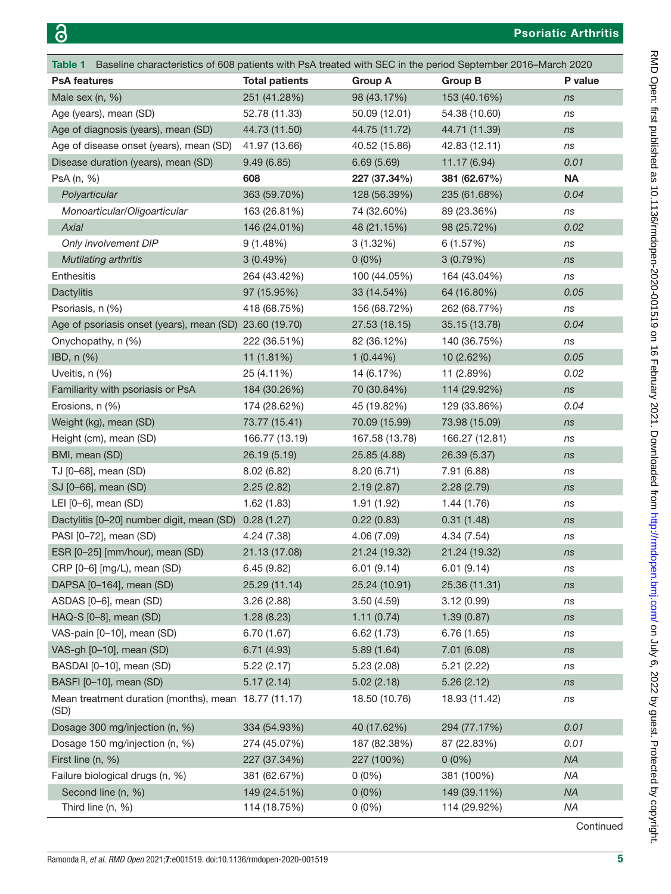<span id="page-4-0"></span>

| Baseline characteristics of 608 patients with PsA treated with SEC in the period September 2016–March 2020<br>Table 1 |                       |                |                |           |
|-----------------------------------------------------------------------------------------------------------------------|-----------------------|----------------|----------------|-----------|
| <b>PsA features</b>                                                                                                   | <b>Total patients</b> | <b>Group A</b> | <b>Group B</b> | P value   |
| Male sex $(n, %)$                                                                                                     | 251 (41.28%)          | 98 (43.17%)    | 153 (40.16%)   | ns        |
| Age (years), mean (SD)                                                                                                | 52.78 (11.33)         | 50.09 (12.01)  | 54.38 (10.60)  | ns        |
| Age of diagnosis (years), mean (SD)                                                                                   | 44.73 (11.50)         | 44.75 (11.72)  | 44.71 (11.39)  | ns        |
| Age of disease onset (years), mean (SD)                                                                               | 41.97 (13.66)         | 40.52 (15.86)  | 42.83 (12.11)  | ns        |
| Disease duration (years), mean (SD)                                                                                   | 9.49(6.85)            | 6.69(5.69)     | 11.17 (6.94)   | 0.01      |
| PsA (n, %)                                                                                                            | 608                   | 227 (37.34%)   | 381 (62.67%)   | <b>NA</b> |
| Polyarticular                                                                                                         | 363 (59.70%)          | 128 (56.39%)   | 235 (61.68%)   | 0.04      |
| Monoarticular/Oligoarticular                                                                                          | 163 (26.81%)          | 74 (32.60%)    | 89 (23.36%)    | ns        |
| <b>Axial</b>                                                                                                          | 146 (24.01%)          | 48 (21.15%)    | 98 (25.72%)    | 0.02      |
| Only involvement DIP                                                                                                  | 9(1.48%)              | 3(1.32%)       | 6(1.57%)       | ns        |
| Mutilating arthritis                                                                                                  | 3(0.49%)              | $0(0\%)$       | 3(0.79%)       | ns        |
| <b>Enthesitis</b>                                                                                                     | 264 (43.42%)          | 100 (44.05%)   | 164 (43.04%)   | ns        |
| <b>Dactylitis</b>                                                                                                     | 97 (15.95%)           | 33 (14.54%)    | 64 (16.80%)    | 0.05      |
| Psoriasis, n (%)                                                                                                      | 418 (68.75%)          | 156 (68.72%)   | 262 (68.77%)   | ns        |
| Age of psoriasis onset (years), mean (SD) 23.60 (19.70)                                                               |                       | 27.53 (18.15)  | 35.15 (13.78)  | 0.04      |
| Onychopathy, n (%)                                                                                                    | 222 (36.51%)          | 82 (36.12%)    | 140 (36.75%)   | ns        |
| IBD, n (%)                                                                                                            | 11(1.81%)             | $1(0.44\%)$    | 10 (2.62%)     | 0.05      |
| Uveitis, n (%)                                                                                                        | 25 (4.11%)            | 14 (6.17%)     | 11 (2.89%)     | 0.02      |
| Familiarity with psoriasis or PsA                                                                                     | 184 (30.26%)          | 70 (30.84%)    | 114 (29.92%)   | ns        |
| Erosions, n (%)                                                                                                       | 174 (28.62%)          | 45 (19.82%)    | 129 (33.86%)   | 0.04      |
| Weight (kg), mean (SD)                                                                                                | 73.77 (15.41)         | 70.09 (15.99)  | 73.98 (15.09)  | ns        |
| Height (cm), mean (SD)                                                                                                | 166.77 (13.19)        | 167.58 (13.78) | 166.27 (12.81) | ns        |
| BMI, mean (SD)                                                                                                        | 26.19 (5.19)          | 25.85 (4.88)   | 26.39 (5.37)   | ns        |
| TJ [0-68], mean (SD)                                                                                                  | 8.02(6.82)            | 8.20(6.71)     | 7.91 (6.88)    | ns        |
| SJ [0-66], mean (SD)                                                                                                  | 2.25(2.82)            | 2.19(2.87)     | 2.28(2.79)     | ns        |
| LEI [0-6], mean (SD)                                                                                                  | 1.62(1.83)            | 1.91(1.92)     | 1.44(1.76)     | ns        |
| Dactylitis [0-20] number digit, mean (SD)                                                                             | 0.28(1.27)            | 0.22(0.83)     | 0.31(1.48)     | ns        |
| PASI [0-72], mean (SD)                                                                                                | 4.24 (7.38)           | 4.06(7.09)     | 4.34 (7.54)    | ns        |
| ESR [0-25] [mm/hour), mean (SD)                                                                                       | 21.13 (17.08)         | 21.24 (19.32)  | 21.24 (19.32)  | ns        |
| CRP [0-6] [mg/L), mean (SD)                                                                                           | 6.45(9.82)            | 6.01(9.14)     | 6.01(9.14)     | ns        |
| DAPSA [0-164], mean (SD)                                                                                              | 25.29 (11.14)         | 25.24 (10.91)  | 25.36 (11.31)  | ns        |
| ASDAS [0-6], mean (SD)                                                                                                | 3.26(2.88)            | 3.50(4.59)     | 3.12(0.99)     | ns        |
| HAQ-S [0-8], mean (SD)                                                                                                | 1.28(8.23)            | 1.11(0.74)     | 1.39(0.87)     | ns        |
| VAS-pain [0-10], mean (SD)                                                                                            | 6.70(1.67)            | 6.62(1.73)     | 6.76(1.65)     | ns        |
| VAS-gh [0-10], mean (SD)                                                                                              | 6.71(4.93)            | 5.89(1.64)     | 7.01 (6.08)    | ns        |
| BASDAI [0-10], mean (SD)                                                                                              | 5.22(2.17)            | 5.23(2.08)     | 5.21(2.22)     | ns        |
| BASFI [0-10], mean (SD)                                                                                               | 5.17(2.14)            | 5.02(2.18)     | 5.26(2.12)     | ns        |
| Mean treatment duration (months), mean 18.77 (11.17)<br>(SD)                                                          |                       | 18.50 (10.76)  | 18.93 (11.42)  | ns        |
| Dosage 300 mg/injection (n, %)                                                                                        | 334 (54.93%)          | 40 (17.62%)    | 294 (77.17%)   | 0.01      |
| Dosage 150 mg/injection (n, %)                                                                                        | 274 (45.07%)          | 187 (82.38%)   | 87 (22.83%)    | 0.01      |
| First line (n, %)                                                                                                     | 227 (37.34%)          | 227 (100%)     | $0(0\%)$       | <b>NA</b> |
| Failure biological drugs (n, %)                                                                                       | 381 (62.67%)          | $0(0\%)$       | 381 (100%)     | ΝA        |
| Second line (n, %)                                                                                                    | 149 (24.51%)          | $0(0\%)$       | 149 (39.11%)   | <b>NA</b> |
| Third line (n, %)                                                                                                     | 114 (18.75%)          | $0(0\%)$       | 114 (29.92%)   | ΝA        |

**Continued**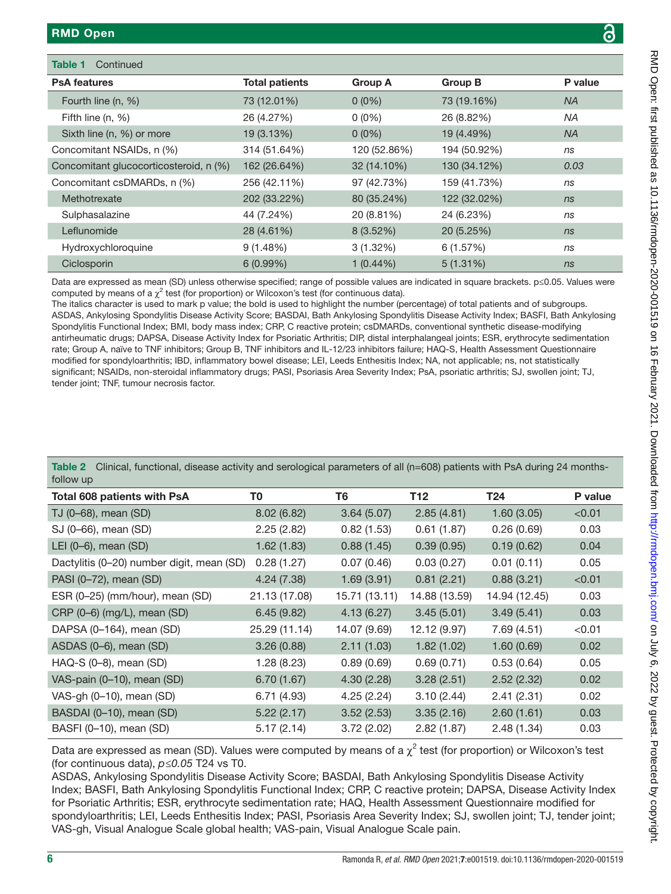| Table 1<br>Continued                   |                       |                |                |           |
|----------------------------------------|-----------------------|----------------|----------------|-----------|
| <b>PsA features</b>                    | <b>Total patients</b> | <b>Group A</b> | <b>Group B</b> | P value   |
| Fourth line (n, %)                     | 73 (12.01%)           | $0(0\%)$       | 73 (19.16%)    | <b>NA</b> |
| Fifth line $(n, %)$                    | 26 (4.27%)            | $0(0\%)$       | 26 (8.82%)     | <b>NA</b> |
| Sixth line (n, %) or more              | 19 (3.13%)            | $0(0\%)$       | 19 (4.49%)     | <b>NA</b> |
| Concomitant NSAIDs, n (%)              | 314 (51.64%)          | 120 (52.86%)   | 194 (50.92%)   | ns        |
| Concomitant glucocorticosteroid, n (%) | 162 (26.64%)          | 32 (14.10%)    | 130 (34.12%)   | 0.03      |
| Concomitant csDMARDs, n (%)            | 256 (42.11%)          | 97 (42.73%)    | 159 (41.73%)   | ns        |
| Methotrexate                           | 202 (33.22%)          | 80 (35.24%)    | 122 (32.02%)   | ns        |
| Sulphasalazine                         | 44 (7.24%)            | 20 (8.81%)     | 24 (6.23%)     | ns        |
| Leflunomide                            | 28 (4.61%)            | 8(3.52%)       | 20 (5.25%)     | ns        |
| Hydroxychloroquine                     | $9(1.48\%)$           | 3(1.32%)       | 6(1.57%)       | ns        |
| Ciclosporin                            | $6(0.99\%)$           | $1(0.44\%)$    | $5(1.31\%)$    | ns        |

Data are expressed as mean (SD) unless otherwise specified; range of possible values are indicated in square brackets. p≤0.05. Values were computed by means of a  $\chi^2$  test (for proportion) or Wilcoxon's test (for continuous data).

The italics character is used to mark p value; the bold is used to highlight the number (percentage) of total patients and of subgroups. ASDAS, Ankylosing Spondylitis Disease Activity Score; BASDAI, Bath Ankylosing Spondylitis Disease Activity Index; BASFI, Bath Ankylosing Spondylitis Functional Index; BMI, body mass index; CRP, C reactive protein; csDMARDs, conventional synthetic disease-modifying antirheumatic drugs; DAPSA, Disease Activity Index for Psoriatic Arthritis; DIP, distal interphalangeal joints; ESR, erythrocyte sedimentation rate; Group A, naïve to TNF inhibitors; Group B, TNF inhibitors and IL-12/23 inhibitors failure; HAQ-S, Health Assessment Questionnaire modified for spondyloarthritis; IBD, inflammatory bowel disease; LEI, Leeds Enthesitis Index; NA, not applicable; ns, not statistically significant; NSAIDs, non-steroidal inflammatory drugs; PASI, Psoriasis Area Severity Index; PsA, psoriatic arthritis; SJ, swollen joint; TJ, tender joint; TNF, tumour necrosis factor.

<span id="page-5-0"></span>

|           | Table 2 Clinical, functional, disease activity and serological parameters of all (n=608) patients with PsA during 24 months- |  |  |
|-----------|------------------------------------------------------------------------------------------------------------------------------|--|--|
| follow up |                                                                                                                              |  |  |

| Total 608 patients with PsA               | T0            | T6            | T12           | T24           | P value |
|-------------------------------------------|---------------|---------------|---------------|---------------|---------|
| TJ (0-68), mean (SD)                      | 8.02(6.82)    | 3.64(5.07)    | 2.85(4.81)    | 1.60(3.05)    | < 0.01  |
| SJ (0-66), mean (SD)                      | 2.25(2.82)    | 0.82(1.53)    | 0.61(1.87)    | 0.26(0.69)    | 0.03    |
| LEI $(0-6)$ , mean $(SD)$                 | 1.62(1.83)    | 0.88(1.45)    | 0.39(0.95)    | 0.19(0.62)    | 0.04    |
| Dactylitis (0-20) number digit, mean (SD) | 0.28(1.27)    | 0.07(0.46)    | 0.03(0.27)    | 0.01(0.11)    | 0.05    |
| PASI (0-72), mean (SD)                    | 4.24(7.38)    | 1.69(3.91)    | 0.81(2.21)    | 0.88(3.21)    | < 0.01  |
| ESR (0-25) (mm/hour), mean (SD)           | 21.13 (17.08) | 15.71 (13.11) | 14.88 (13.59) | 14.94 (12.45) | 0.03    |
| CRP (0-6) (mg/L), mean (SD)               | 6.45(9.82)    | 4.13(6.27)    | 3.45(5.01)    | 3.49(5.41)    | 0.03    |
| DAPSA (0-164), mean (SD)                  | 25.29 (11.14) | 14.07 (9.69)  | 12.12 (9.97)  | 7.69(4.51)    | < 0.01  |
| ASDAS (0-6), mean (SD)                    | 3.26(0.88)    | 2.11(1.03)    | 1.82(1.02)    | 1.60(0.69)    | 0.02    |
| HAQ-S (0-8), mean (SD)                    | 1.28(8.23)    | 0.89(0.69)    | 0.69(0.71)    | 0.53(0.64)    | 0.05    |
| VAS-pain (0-10), mean (SD)                | 6.70(1.67)    | 4.30(2.28)    | 3.28(2.51)    | 2.52(2.32)    | 0.02    |
| VAS-gh (0-10), mean (SD)                  | 6.71(4.93)    | 4.25(2.24)    | 3.10(2.44)    | 2.41(2.31)    | 0.02    |
| BASDAI (0-10), mean (SD)                  | 5.22(2.17)    | 3.52(2.53)    | 3.35(2.16)    | 2.60(1.61)    | 0.03    |
| BASFI (0-10), mean (SD)                   | 5.17(2.14)    | 3.72(2.02)    | 2.82(1.87)    | 2.48(1.34)    | 0.03    |

Data are expressed as mean (SD). Values were computed by means of a  $\chi^2$  test (for proportion) or Wilcoxon's test (for continuous data), *p≤0.05* T24 vs T0.

ASDAS, Ankylosing Spondylitis Disease Activity Score; BASDAI, Bath Ankylosing Spondylitis Disease Activity Index; BASFI, Bath Ankylosing Spondylitis Functional Index; CRP, C reactive protein; DAPSA, Disease Activity Index for Psoriatic Arthritis; ESR, erythrocyte sedimentation rate; HAQ, Health Assessment Questionnaire modified for spondyloarthritis; LEI, Leeds Enthesitis Index; PASI, Psoriasis Area Severity Index; SJ, swollen joint; TJ, tender joint; VAS-gh, Visual Analogue Scale global health; VAS-pain, Visual Analogue Scale pain.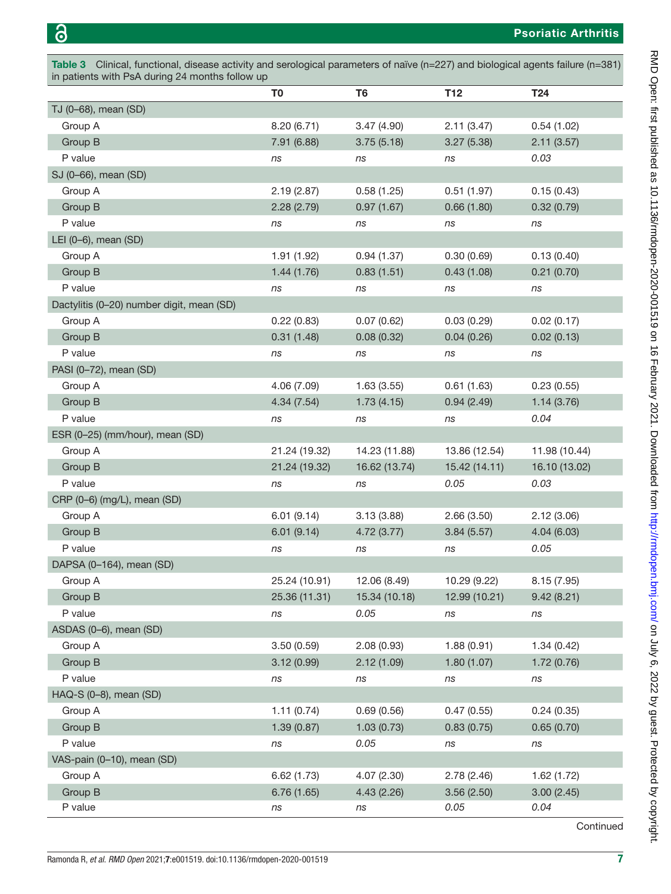<span id="page-6-0"></span>

| Table 3 Clinical, functional, disease activity and serological parameters of naïve (n=227) and biological agents failure (n=381)<br>in patients with PsA during 24 months follow up |                |                |               |               |  |
|-------------------------------------------------------------------------------------------------------------------------------------------------------------------------------------|----------------|----------------|---------------|---------------|--|
|                                                                                                                                                                                     | T <sub>0</sub> | T <sub>6</sub> | T12           | T24           |  |
| TJ (0-68), mean (SD)                                                                                                                                                                |                |                |               |               |  |
| Group A                                                                                                                                                                             | 8.20(6.71)     | 3.47(4.90)     | 2.11(3.47)    | 0.54(1.02)    |  |
| Group B                                                                                                                                                                             | 7.91 (6.88)    | 3.75(5.18)     | 3.27(5.38)    | 2.11(3.57)    |  |
| P value                                                                                                                                                                             | ns             | ns             | ns            | 0.03          |  |
| SJ (0-66), mean (SD)                                                                                                                                                                |                |                |               |               |  |
| Group A                                                                                                                                                                             | 2.19(2.87)     | 0.58(1.25)     | 0.51(1.97)    | 0.15(0.43)    |  |
| Group B                                                                                                                                                                             | 2.28(2.79)     | 0.97(1.67)     | 0.66(1.80)    | 0.32(0.79)    |  |
| P value                                                                                                                                                                             | ns             | ns             | ns            | ns            |  |
| LEI (0-6), mean (SD)                                                                                                                                                                |                |                |               |               |  |
| Group A                                                                                                                                                                             | 1.91(1.92)     | 0.94(1.37)     | 0.30(0.69)    | 0.13(0.40)    |  |
| Group B                                                                                                                                                                             | 1.44(1.76)     | 0.83(1.51)     | 0.43(1.08)    | 0.21(0.70)    |  |
| P value                                                                                                                                                                             | ns             | ns             | ns            | ns            |  |
| Dactylitis (0-20) number digit, mean (SD)                                                                                                                                           |                |                |               |               |  |
| Group A                                                                                                                                                                             | 0.22(0.83)     | 0.07(0.62)     | 0.03(0.29)    | 0.02(0.17)    |  |
| Group B                                                                                                                                                                             | 0.31(1.48)     | 0.08(0.32)     | 0.04(0.26)    | 0.02(0.13)    |  |
| P value                                                                                                                                                                             | ns             | ns             | ns            | ns            |  |
| PASI (0-72), mean (SD)                                                                                                                                                              |                |                |               |               |  |
| Group A                                                                                                                                                                             | 4.06 (7.09)    | 1.63(3.55)     | 0.61(1.63)    | 0.23(0.55)    |  |
| Group B                                                                                                                                                                             | 4.34 (7.54)    | 1.73(4.15)     | 0.94(2.49)    | 1.14(3.76)    |  |
| P value                                                                                                                                                                             | ns             | ns             | ns            | 0.04          |  |
| ESR (0-25) (mm/hour), mean (SD)                                                                                                                                                     |                |                |               |               |  |
| Group A                                                                                                                                                                             | 21.24 (19.32)  | 14.23 (11.88)  | 13.86 (12.54) | 11.98 (10.44) |  |
| Group B                                                                                                                                                                             | 21.24 (19.32)  | 16.62 (13.74)  | 15.42 (14.11) | 16.10 (13.02) |  |
| P value                                                                                                                                                                             | ns             | ns             | 0.05          | 0.03          |  |
| CRP (0-6) (mg/L), mean (SD)                                                                                                                                                         |                |                |               |               |  |
| Group A                                                                                                                                                                             | 6.01(9.14)     | 3.13(3.88)     | 2.66(3.50)    | 2.12(3.06)    |  |
| Group B                                                                                                                                                                             | 6.01(9.14)     | 4.72(3.77)     | 3.84(5.57)    | 4.04(6.03)    |  |
| P value                                                                                                                                                                             | ns             | ns             | ns            | 0.05          |  |
| DAPSA (0-164), mean (SD)                                                                                                                                                            |                |                |               |               |  |
| Group A                                                                                                                                                                             | 25.24 (10.91)  | 12.06 (8.49)   | 10.29 (9.22)  | 8.15(7.95)    |  |
| Group B                                                                                                                                                                             | 25.36 (11.31)  | 15.34 (10.18)  | 12.99 (10.21) | 9.42(8.21)    |  |
| P value                                                                                                                                                                             | ns             | 0.05           | ns            | ns            |  |
| ASDAS (0-6), mean (SD)                                                                                                                                                              |                |                |               |               |  |
| Group A                                                                                                                                                                             | 3.50(0.59)     | 2.08(0.93)     | 1.88(0.91)    | 1.34(0.42)    |  |
| Group B                                                                                                                                                                             | 3.12(0.99)     | 2.12(1.09)     | 1.80(1.07)    | 1.72(0.76)    |  |
| P value                                                                                                                                                                             | ns             | ns             | ns            | ns            |  |
| HAQ-S (0-8), mean (SD)                                                                                                                                                              |                |                |               |               |  |
| Group A                                                                                                                                                                             | 1.11(0.74)     | 0.69(0.56)     | 0.47(0.55)    | 0.24(0.35)    |  |
| Group B                                                                                                                                                                             | 1.39(0.87)     | 1.03(0.73)     | 0.83(0.75)    | 0.65(0.70)    |  |
| P value                                                                                                                                                                             | ns             | 0.05           | ns            | ns            |  |
| VAS-pain (0-10), mean (SD)                                                                                                                                                          |                |                |               |               |  |
| Group A                                                                                                                                                                             | 6.62(1.73)     | 4.07(2.30)     | 2.78(2.46)    | 1.62(1.72)    |  |
| Group B                                                                                                                                                                             | 6.76(1.65)     | 4.43(2.26)     | 3.56(2.50)    | 3.00(2.45)    |  |
| P value                                                                                                                                                                             | ns             | ns             | 0.05          | 0.04          |  |

Continued

on July 6, 2022 by guest. Protected by copyright. <http://rmdopen.bmj.com/> RMD Open: first published as 10.1136/rmdopen-2020-001519 on 16 February 2021. Downloaded from

RMD Open: first published as 10.1136/rmdopen-2020-001519 on 16 February 2021. Downloaded from http://rmdopen.bmj.com/ on July 6, 2022 by guest. Protected by copyright.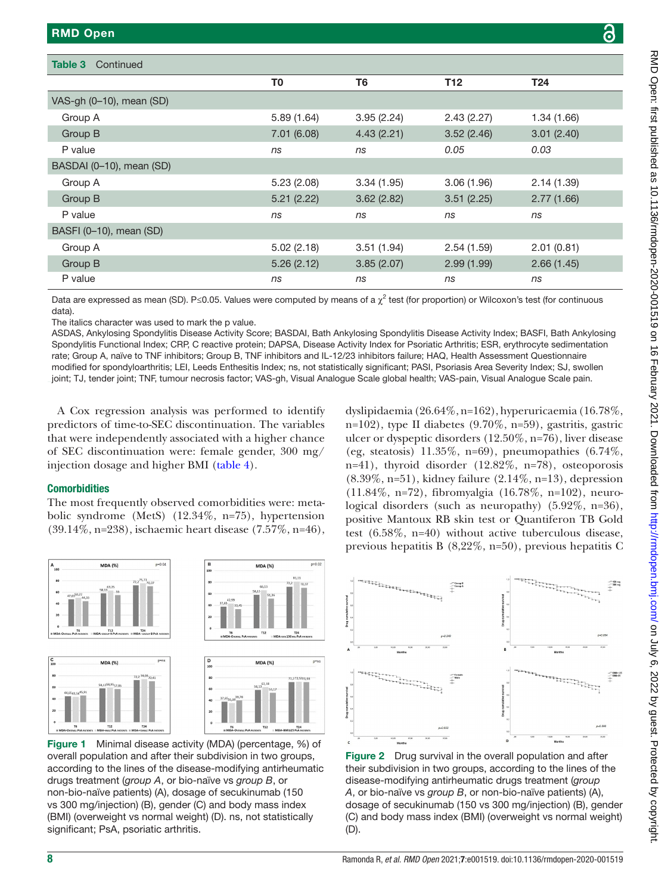Table 3 Continued

VAS-gh (0–10), mean (SD)

| <b>MD Open</b>         |                |                |            |            | င် |
|------------------------|----------------|----------------|------------|------------|----|
| ble 3<br>Continued     |                |                |            |            |    |
|                        |                |                |            |            |    |
|                        | T <sub>0</sub> | T <sub>6</sub> | <b>T12</b> | <b>T24</b> |    |
| S-gh (0-10), mean (SD) |                |                |            |            |    |
| Group A                | 5.89(1.64)     | 3.95(2.24)     | 2.43(2.27) | 1.34(1.66) |    |
| Group B                | 7.01(6.08)     | 4.43(2.21)     | 3.52(2.46) | 3.01(2.40) |    |
| P value                | ns             | ns             | 0.05       | 0.03       |    |
| $(0.001)(0.40)$ (0.0)  |                |                |            |            |    |

| BASDAI (0-10), mean (SD) |            |            |            |            |
|--------------------------|------------|------------|------------|------------|
| Group A                  | 5.23(2.08) | 3.34(1.95) | 3.06(1.96) | 2.14(1.39) |
| Group B                  | 5.21(2.22) | 3.62(2.82) | 3.51(2.25) | 2.77(1.66) |
| P value                  | ns         | ns         | ns         | ns         |
| BASFI (0-10), mean (SD)  |            |            |            |            |
| Group A                  | 5.02(2.18) | 3.51(1.94) | 2.54(1.59) | 2.01(0.81) |
| Group B                  | 5.26(2.12) | 3.85(2.07) | 2.99(1.99) | 2.66(1.45) |
| P value                  | ns         | ns         | ns         | ns         |

Data are expressed as mean (SD). P≤0.05. Values were computed by means of a  $\chi^2$  test (for proportion) or Wilcoxon's test (for continuous data).

The italics character was used to mark the p value.

ASDAS, Ankylosing Spondylitis Disease Activity Score; BASDAI, Bath Ankylosing Spondylitis Disease Activity Index; BASFI, Bath Ankylosing Spondylitis Functional Index; CRP, C reactive protein; DAPSA, Disease Activity Index for Psoriatic Arthritis; ESR, erythrocyte sedimentation rate; Group A, naïve to TNF inhibitors; Group B, TNF inhibitors and IL-12/23 inhibitors failure; HAQ, Health Assessment Questionnaire modified for spondyloarthritis; LEI, Leeds Enthesitis Index; ns, not statistically significant; PASI, Psoriasis Area Severity Index; SJ, swollen joint; TJ, tender joint; TNF, tumour necrosis factor; VAS-gh, Visual Analogue Scale global health; VAS-pain, Visual Analogue Scale pain.

 $p=0.02$ 

A Cox regression analysis was performed to identify predictors of time-to-SEC discontinuation. The variables that were independently associated with a higher chance of SEC discontinuation were: female gender, 300 mg/ injection dosage and higher BMI [\(table](#page-8-0) 4).

#### **Comorbidities**

The most frequently observed comorbidities were: metabolic syndrome (MetS) (12.34%, n=75), hypertension (39.14%, n=238), ischaemic heart disease (7.57%, n=46),





**MDA (%** 

<span id="page-7-0"></span>Figure 1 Minimal disease activity (MDA) (percentage, %) of overall population and after their subdivision in two groups, according to the lines of the disease-modifying antirheumatic drugs treatment (*group A*, or bio-naïve vs *group B*, or non-bio-naïve patients) (A), dosage of secukinumab (150 vs 300 mg/injection) (B), gender (C) and body mass index (BMI) (overweight vs normal weight) (D). ns, not statistically significant; PsA, psoriatic arthritis.

dyslipidaemia (26.64%, n=162), hyperuricaemia (16.78%, n=102), type II diabetes  $(9.70\%, n=59)$ , gastritis, gastric ulcer or dyspeptic disorders (12.50%, n=76), liver disease (eg, steatosis)  $11.35\%$ , n=69), pneumopathies  $(6.74\%$ , n=41), thyroid disorder (12.82%, n=78), osteoporosis (8.39%, n=51), kidney failure (2.14%, n=13), depression (11.84%, n=72), fibromyalgia (16.78%, n=102), neurological disorders (such as neuropathy) (5.92%, n=36), positive Mantoux RB skin test or Quantiferon TB Gold test (6.58%, n=40) without active tuberculous disease, previous hepatitis B (8,22%, n=50), previous hepatitis C



<span id="page-7-1"></span>Figure 2 Drug survival in the overall population and after their subdivision in two groups, according to the lines of the disease-modifying antirheumatic drugs treatment (*group A*, or bio-naïve vs *group B*, or non-bio-naïve patients) (A), dosage of secukinumab (150 vs 300 mg/injection) (B), gender (C) and body mass index (BMI) (overweight vs normal weight) (D).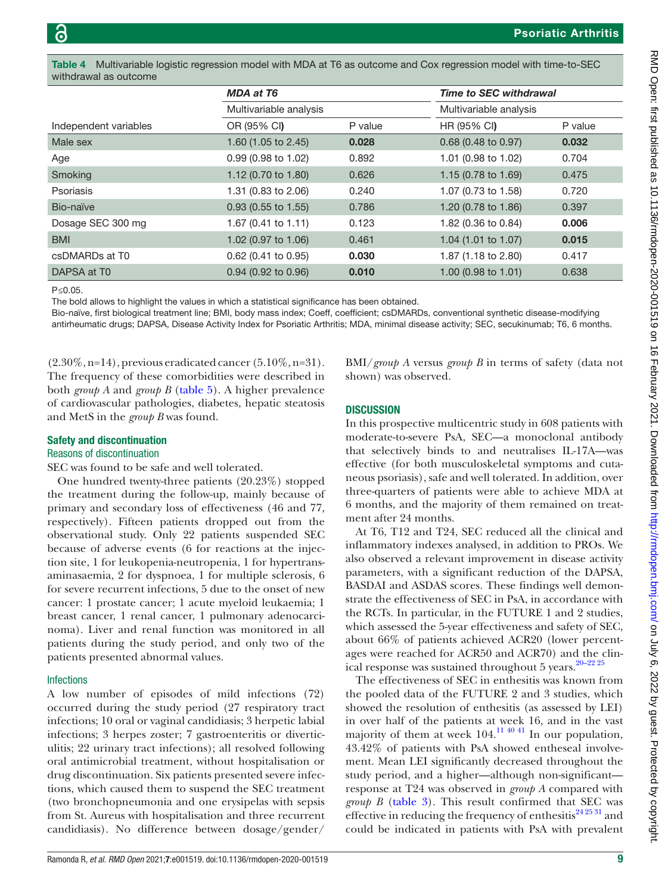<span id="page-8-0"></span>Multivariable logistic regression model with MDA at T6 as outcome and Cox regression model with time-to-SEC withdrawal as outcome

|                         | <b>MDA at T6</b><br>Multivariable analysis |         | <b>Time to SEC withdrawal</b>  |         |
|-------------------------|--------------------------------------------|---------|--------------------------------|---------|
|                         |                                            |         | Multivariable analysis         |         |
| Independent variables   | OR (95% CI)                                | P value | HR (95% CI)                    | P value |
| Male sex                | 1.60 (1.05 to 2.45)                        | 0.028   | 0.68 (0.48 to 0.97)            | 0.032   |
| Age                     | 0.99 (0.98 to 1.02)                        | 0.892   | 1.01 (0.98 to 1.02)            | 0.704   |
| Smoking                 | 1.12 (0.70 to 1.80)                        | 0.626   | 1.15 (0.78 to 1.69)            | 0.475   |
| Psoriasis               | 1.31 (0.83 to 2.06)                        | 0.240   | 1.07 (0.73 to 1.58)            | 0.720   |
| Bio-naïve               | $0.93$ (0.55 to 1.55)                      | 0.786   | 1.20 (0.78 to 1.86)            | 0.397   |
| Dosage SEC 300 mg       | 1.67 (0.41 to 1.11)                        | 0.123   | 1.82 (0.36 to 0.84)            | 0.006   |
| <b>BMI</b>              | 1.02 (0.97 to 1.06)                        | 0.461   | 1.04 $(1.01 \text{ to } 1.07)$ | 0.015   |
| csDMARDs at T0          | 0.62 (0.41 to 0.95)                        | 0.030   | 1.87 (1.18 to 2.80)            | 0.417   |
| DAPSA at T <sub>0</sub> | $0.94$ (0.92 to 0.96)                      | 0.010   | 1.00 (0.98 to 1.01)            | 0.638   |

P*≤*0.05.

The bold allows to highlight the values in which a statistical significance has been obtained.

Bio-naïve, first biological treatment line; BMI, body mass index; Coeff, coefficient; csDMARDs, conventional synthetic disease-modifying antirheumatic drugs; DAPSA, Disease Activity Index for Psoriatic Arthritis; MDA, minimal disease activity; SEC, secukinumab; T6, 6 months.

 $(2.30\%, n=14)$ , previous eradicated cancer  $(5.10\%, n=31)$ . The frequency of these comorbidities were described in both *group A* and *group B* [\(table](#page-9-0) 5). A higher prevalence of cardiovascular pathologies, diabetes, hepatic steatosis and MetS in the *group B* was found.

#### Safety and discontinuation

#### Reasons of discontinuation

SEC was found to be safe and well tolerated.

One hundred twenty-three patients (20.23%) stopped the treatment during the follow-up, mainly because of primary and secondary loss of effectiveness (46 and 77, respectively). Fifteen patients dropped out from the observational study. Only 22 patients suspended SEC because of adverse events (6 for reactions at the injection site, 1 for leukopenia-neutropenia, 1 for hypertransaminasaemia, 2 for dyspnoea, 1 for multiple sclerosis, 6 for severe recurrent infections, 5 due to the onset of new cancer: 1 prostate cancer; 1 acute myeloid leukaemia; 1 breast cancer, 1 renal cancer, 1 pulmonary adenocarcinoma). Liver and renal function was monitored in all patients during the study period, and only two of the patients presented abnormal values.

#### Infections

A low number of episodes of mild infections (72) occurred during the study period (27 respiratory tract infections; 10 oral or vaginal candidiasis; 3 herpetic labial infections; 3 herpes zoster; 7 gastroenteritis or diverticulitis; 22 urinary tract infections); all resolved following oral antimicrobial treatment, without hospitalisation or drug discontinuation. Six patients presented severe infections, which caused them to suspend the SEC treatment (two bronchopneumonia and one erysipelas with sepsis from St. Aureus with hospitalisation and three recurrent candidiasis). No difference between dosage/gender/

BMI/*group A* versus *group B* in terms of safety (data not shown) was observed.

# **DISCUSSION**

In this prospective multicentric study in 608 patients with moderate-to-severe PsA, SEC—a monoclonal antibody that selectively binds to and neutralises IL-17A—was effective (for both musculoskeletal symptoms and cutaneous psoriasis), safe and well tolerated. In addition, over three-quarters of patients were able to achieve MDA at 6 months, and the majority of them remained on treatment after 24 months.

At T6, T12 and T24, SEC reduced all the clinical and inflammatory indexes analysed, in addition to PROs. We also observed a relevant improvement in disease activity parameters, with a significant reduction of the DAPSA, BASDAI and ASDAS scores. These findings well demonstrate the effectiveness of SEC in PsA, in accordance with the RCTs. In particular, in the FUTURE 1 and 2 studies, which assessed the 5-year effectiveness and safety of SEC, about 66% of patients achieved ACR20 (lower percentages were reached for ACR50 and ACR70) and the clin-ical response was sustained throughout 5 years.<sup>[20–22 25](#page-12-20)</sup>

The effectiveness of SEC in enthesitis was known from the pooled data of the FUTURE 2 and 3 studies, which showed the resolution of enthesitis (as assessed by LEI) in over half of the patients at week 16, and in the vast majority of them at week  $104$ <sup>[11 40 41](#page-12-4)</sup> In our population, 43.42% of patients with PsA showed entheseal involvement. Mean LEI significantly decreased throughout the study period, and a higher—although non-significant response at T24 was observed in *group A* compared with *group B* ([table](#page-6-0) 3). This result confirmed that SEC was effective in reducing the frequency of enthesitis $24\frac{25\frac{31}{31}}{21}$  and could be indicated in patients with PsA with prevalent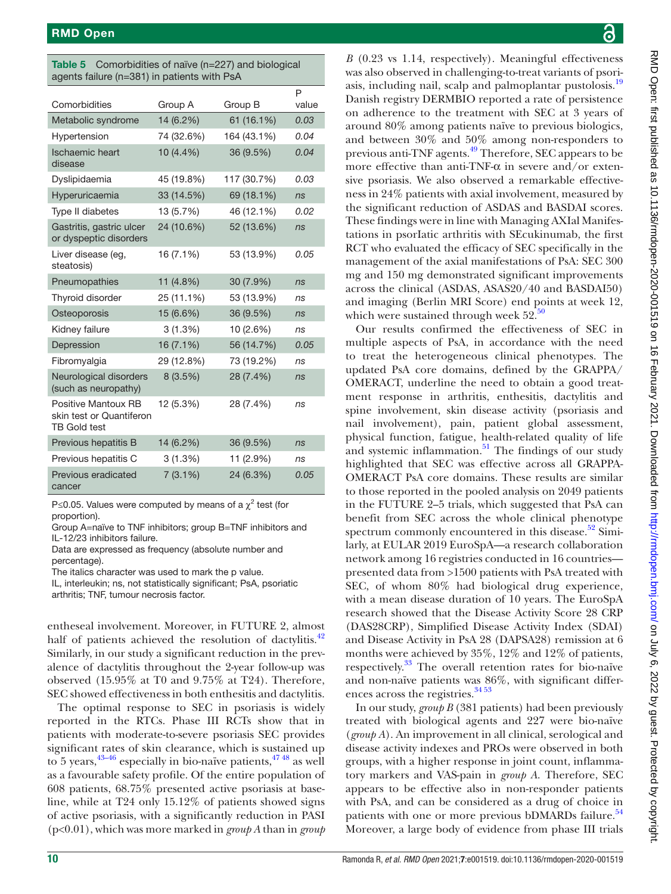<span id="page-9-0"></span>

| <b>Table 5</b> Comorbidities of naïve (n=227) and biological |
|--------------------------------------------------------------|
| agents failure $(n=381)$ in patients with PsA                |

|                                                                        |            |             | P     |
|------------------------------------------------------------------------|------------|-------------|-------|
| Comorbidities                                                          | Group A    | Group B     | value |
| Metabolic syndrome                                                     | 14 (6.2%)  | 61 (16.1%)  | 0.03  |
| Hypertension                                                           | 74 (32.6%) | 164 (43.1%) | 0.04  |
| <b>Ischaemic heart</b><br>disease                                      | 10 (4.4%)  | 36 (9.5%)   | 0.04  |
| Dyslipidaemia                                                          | 45 (19.8%) | 117 (30.7%) | 0.03  |
| Hyperuricaemia                                                         | 33 (14.5%) | 69 (18.1%)  | ns    |
| Type II diabetes                                                       | 13 (5.7%)  | 46 (12.1%)  | 0.02  |
| Gastritis, gastric ulcer<br>or dyspeptic disorders                     | 24 (10.6%) | 52 (13.6%)  | ns    |
| Liver disease (eg,<br>steatosis)                                       | 16 (7.1%)  | 53 (13.9%)  | 0.05  |
| Pneumopathies                                                          | 11 (4.8%)  | 30 (7.9%)   | ns    |
| Thyroid disorder                                                       | 25 (11.1%) | 53 (13.9%)  | ns    |
| Osteoporosis                                                           | 15 (6.6%)  | 36 (9.5%)   | ns    |
| Kidney failure                                                         | 3(1.3%)    | 10 (2.6%)   | ns    |
| Depression                                                             | 16 (7.1%)  | 56 (14.7%)  | 0.05  |
| Fibromyalgia                                                           | 29 (12.8%) | 73 (19.2%)  | ns    |
| Neurological disorders<br>(such as neuropathy)                         | 8(3.5%)    | 28 (7.4%)   | ns    |
| Positive Mantoux RB<br>skin test or Quantiferon<br><b>TB Gold test</b> | 12 (5.3%)  | 28 (7.4%)   | ns    |
| Previous hepatitis B                                                   | 14 (6.2%)  | 36 (9.5%)   | ns    |
| Previous hepatitis C                                                   | 3(1.3%)    | 11 (2.9%)   | ns    |
| Previous eradicated<br>cancer                                          | 7(3.1%)    | 24 (6.3%)   | 0.05  |

P≤0.05. Values were computed by means of a  $\chi^2$  test (for proportion).

Group A=naïve to TNF inhibitors; group B=TNF inhibitors and IL-12/23 inhibitors failure.

Data are expressed as frequency (absolute number and percentage).

The italics character was used to mark the p value.

IL, interleukin; ns, not statistically significant; PsA, psoriatic arthritis; TNF, tumour necrosis factor.

entheseal involvement. Moreover, in FUTURE 2, almost half of patients achieved the resolution of dactylitis. $42$ Similarly, in our study a significant reduction in the prevalence of dactylitis throughout the 2-year follow-up was observed (15.95% at T0 and 9.75% at T24). Therefore, SEC showed effectiveness in both enthesitis and dactylitis.

The optimal response to SEC in psoriasis is widely reported in the RTCs. Phase III RCTs show that in patients with moderate-to-severe psoriasis SEC provides significant rates of skin clearance, which is sustained up to 5 years,  $43-46$  especially in bio-naïve patients,  $47-48$  as well as a favourable safety profile. Of the entire population of 608 patients, 68.75% presented active psoriasis at baseline, while at T24 only 15.12% of patients showed signs of active psoriasis, with a significantly reduction in PASI (p<0.01), which was more marked in *group A* than in *group* 

*B* (0.23 vs 1.14, respectively). Meaningful effectiveness was also observed in challenging-to-treat variants of psori-asis, including nail, scalp and palmoplantar pustolosis.<sup>[19](#page-12-11)</sup> Danish registry DERMBIO reported a rate of persistence on adherence to the treatment with SEC at 3 years of around 80% among patients naïve to previous biologics, and between 30% and 50% among non-responders to previous anti-TNF agents[.49](#page-13-3) Therefore, SEC appears to be more effective than anti-TNF- $\alpha$  in severe and/or extensive psoriasis. We also observed a remarkable effectiveness in 24% patients with axial involvement, measured by the significant reduction of ASDAS and BASDAI scores. These findings were in line with Managing AXIal Manifestations in psorIatic arthritis with SEcukinumab, the first RCT who evaluated the efficacy of SEC specifically in the management of the axial manifestations of PsA: SEC 300 mg and 150 mg demonstrated significant improvements across the clinical (ASDAS, ASAS20/40 and BASDAI50) and imaging (Berlin MRI Score) end points at week 12, which were sustained through week  $52<sup>50</sup>$  $52<sup>50</sup>$  $52<sup>50</sup>$ 

Our results confirmed the effectiveness of SEC in multiple aspects of PsA, in accordance with the need to treat the heterogeneous clinical phenotypes. The updated PsA core domains, defined by the GRAPPA/ OMERACT, underline the need to obtain a good treatment response in arthritis, enthesitis, dactylitis and spine involvement, skin disease activity (psoriasis and nail involvement), pain, patient global assessment, physical function, fatigue, health-related quality of life and systemic inflammation. $51$  The findings of our study highlighted that SEC was effective across all GRAPPA-OMERACT PsA core domains. These results are similar to those reported in the pooled analysis on 2049 patients in the FUTURE 2–5 trials, which suggested that PsA can benefit from SEC across the whole clinical phenotype spectrum commonly encountered in this disease. $52$  Similarly, at EULAR 2019 EuroSpA—a research collaboration network among 16 registries conducted in 16 countries presented data from >1500 patients with PsA treated with SEC, of whom 80% had biological drug experience, with a mean disease duration of 10 years. The EuroSpA research showed that the Disease Activity Score 28 CRP (DAS28CRP), Simplified Disease Activity Index (SDAI) and Disease Activity in PsA 28 (DAPSA28) remission at 6 months were achieved by 35%, 12% and 12% of patients, respectively.[33](#page-12-22) The overall retention rates for bio-naïve and non-naïve patients was 86%, with significant differences across the registries.<sup>3453</sup>

In our study, *group B* (381 patients) had been previously treated with biological agents and 227 were bio-naïve (*group A*). An improvement in all clinical, serological and disease activity indexes and PROs were observed in both groups, with a higher response in joint count, inflammatory markers and VAS-pain in *group A*. Therefore, SEC appears to be effective also in non-responder patients with PsA, and can be considered as a drug of choice in patients with one or more previous bDMARDs failure.<sup>54</sup> Moreover, a large body of evidence from phase III trials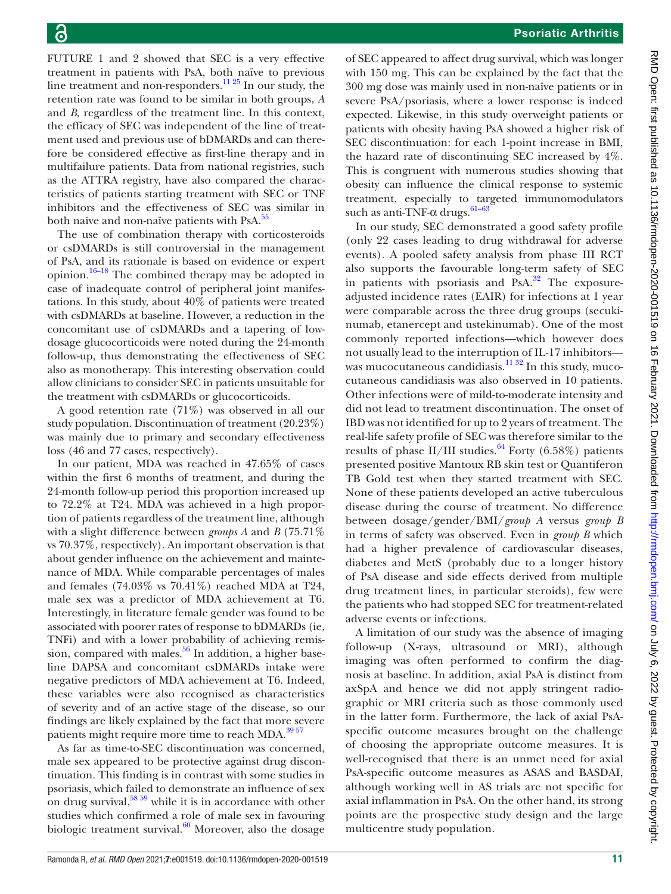FUTURE 1 and 2 showed that SEC is a very effective treatment in patients with PsA, both naïve to previous line treatment and non-responders.<sup>[11 25](#page-12-4)</sup> In our study, the retention rate was found to be similar in both groups, *A* and *B*, regardless of the treatment line. In this context, the efficacy of SEC was independent of the line of treatment used and previous use of bDMARDs and can therefore be considered effective as first-line therapy and in multifailure patients. Data from national registries, such as the ATTRA registry, have also compared the characteristics of patients starting treatment with SEC or TNF inhibitors and the effectiveness of SEC was similar in both naïve and non-naïve patients with PsA.<sup>55</sup>

The use of combination therapy with corticosteroids or csDMARDs is still controversial in the management of PsA, and its rationale is based on evidence or expert opinion.<sup>16–18</sup> The combined therapy may be adopted in case of inadequate control of peripheral joint manifestations. In this study, about 40% of patients were treated with csDMARDs at baseline. However, a reduction in the concomitant use of csDMARDs and a tapering of lowdosage glucocorticoids were noted during the 24-month follow-up, thus demonstrating the effectiveness of SEC also as monotherapy. This interesting observation could allow clinicians to consider SEC in patients unsuitable for the treatment with csDMARDs or glucocorticoids.

A good retention rate (71%) was observed in all our study population. Discontinuation of treatment (20.23%) was mainly due to primary and secondary effectiveness loss (46 and 77 cases, respectively).

In our patient, MDA was reached in 47.65% of cases within the first 6 months of treatment, and during the 24-month follow-up period this proportion increased up to 72.2% at T24. MDA was achieved in a high proportion of patients regardless of the treatment line, although with a slight difference between *groups A* and *B* (75.71% vs 70.37%, respectively). An important observation is that about gender influence on the achievement and maintenance of MDA. While comparable percentages of males and females (74.03% vs 70.41%) reached MDA at T24, male sex was a predictor of MDA achievement at T6. Interestingly, in literature female gender was found to be associated with poorer rates of response to bDMARDs (ie, TNFi) and with a lower probability of achieving remission, compared with males. $56$  In addition, a higher baseline DAPSA and concomitant csDMARDs intake were negative predictors of MDA achievement at T6. Indeed, these variables were also recognised as characteristics of severity and of an active stage of the disease, so our findings are likely explained by the fact that more severe patients might require more time to reach MDA.<sup>3957</sup>

As far as time-to-SEC discontinuation was concerned, male sex appeared to be protective against drug discontinuation. This finding is in contrast with some studies in psoriasis, which failed to demonstrate an influence of sex on drug survival,  $58\frac{59}{9}$  while it is in accordance with other studies which confirmed a role of male sex in favouring biologic treatment survival. $60$  Moreover, also the dosage

of SEC appeared to affect drug survival, which was longer with 150 mg. This can be explained by the fact that the 300 mg dose was mainly used in non-naïve patients or in severe PsA/psoriasis, where a lower response is indeed expected. Likewise, in this study overweight patients or patients with obesity having PsA showed a higher risk of SEC discontinuation: for each 1-point increase in BMI, the hazard rate of discontinuing SEC increased by 4%. This is congruent with numerous studies showing that obesity can influence the clinical response to systemic treatment, especially to targeted immunomodulators such as anti-TNF- $\alpha$  drugs.<sup>61-63</sup>

In our study, SEC demonstrated a good safety profile (only 22 cases leading to drug withdrawal for adverse events). A pooled safety analysis from phase III RCT also supports the favourable long-term safety of SEC in patients with psoriasis and PsA.<sup>[32](#page-12-14)</sup> The exposureadjusted incidence rates (EAIR) for infections at 1 year were comparable across the three drug groups (secukinumab, etanercept and ustekinumab). One of the most commonly reported infections—which however does not usually lead to the interruption of IL-17 inhibitors was mucocutaneous candidiasis.<sup>11 32</sup> In this study, mucocutaneous candidiasis was also observed in 10 patients. Other infections were of mild-to-moderate intensity and did not lead to treatment discontinuation. The onset of IBD was not identified for up to 2 years of treatment. The real-life safety profile of SEC was therefore similar to the results of phase II/III studies.<sup>[64](#page-13-13)</sup> Forty (6.58%) patients presented positive Mantoux RB skin test or Quantiferon TB Gold test when they started treatment with SEC. None of these patients developed an active tuberculous disease during the course of treatment. No difference between dosage/gender/BMI/*group A* versus *group B* in terms of safety was observed. Even in *group B* which had a higher prevalence of cardiovascular diseases, diabetes and MetS (probably due to a longer history of PsA disease and side effects derived from multiple drug treatment lines, in particular steroids), few were the patients who had stopped SEC for treatment-related adverse events or infections.

A limitation of our study was the absence of imaging follow-up (X-rays, ultrasound or MRI), although imaging was often performed to confirm the diagnosis at baseline. In addition, axial PsA is distinct from axSpA and hence we did not apply stringent radiographic or MRI criteria such as those commonly used in the latter form. Furthermore, the lack of axial PsAspecific outcome measures brought on the challenge of choosing the appropriate outcome measures. It is well-recognised that there is an unmet need for axial PsA-specific outcome measures as ASAS and BASDAI, although working well in AS trials are not specific for axial inflammation in PsA. On the other hand, its strong points are the prospective study design and the large multicentre study population.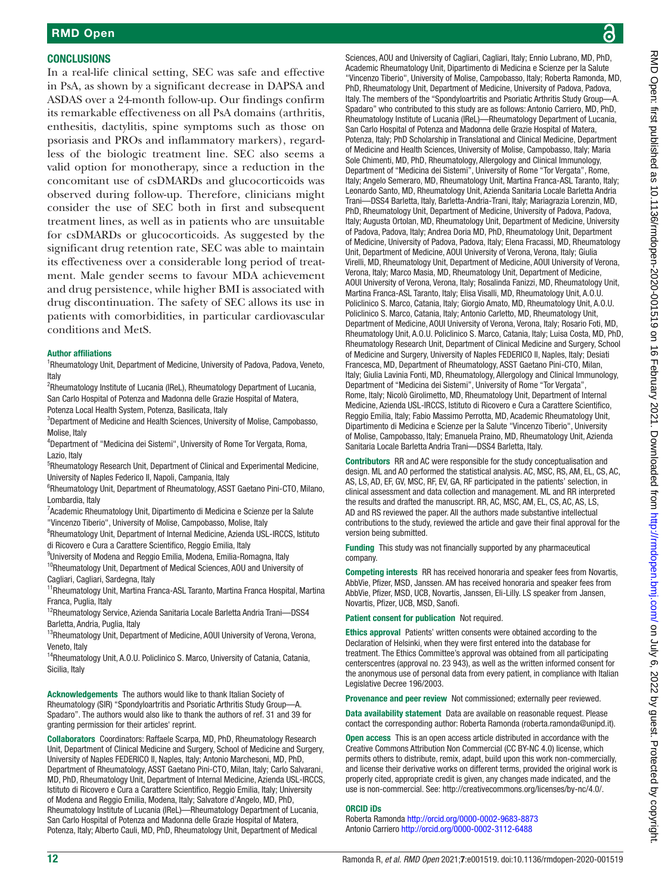# **CONCLUSIONS**

In a real-life clinical setting, SEC was safe and effective in PsA, as shown by a significant decrease in DAPSA and ASDAS over a 24-month follow-up. Our findings confirm its remarkable effectiveness on all PsA domains (arthritis, enthesitis, dactylitis, spine symptoms such as those on psoriasis and PROs and inflammatory markers), regardless of the biologic treatment line. SEC also seems a valid option for monotherapy, since a reduction in the concomitant use of csDMARDs and glucocorticoids was observed during follow-up. Therefore, clinicians might consider the use of SEC both in first and subsequent treatment lines, as well as in patients who are unsuitable for csDMARDs or glucocorticoids. As suggested by the significant drug retention rate, SEC was able to maintain its effectiveness over a considerable long period of treatment. Male gender seems to favour MDA achievement and drug persistence, while higher BMI is associated with drug discontinuation. The safety of SEC allows its use in patients with comorbidities, in particular cardiovascular conditions and MetS.

#### Author affiliations

<sup>1</sup>Rheumatology Unit, Department of Medicine, University of Padova, Padova, Veneto, Italy

<sup>2</sup>Rheumatology Institute of Lucania (IReL), Rheumatology Department of Lucania, San Carlo Hospital of Potenza and Madonna delle Grazie Hospital of Matera,

Potenza Local Health System, Potenza, Basilicata, Italy

<sup>3</sup>Department of Medicine and Health Sciences, University of Molise, Campobasso, Molise, Italy

<sup>4</sup>Department of "Medicina dei Sistemi", University of Rome Tor Vergata, Roma, Lazio, Italy

<sup>5</sup>Rheumatology Research Unit, Department of Clinical and Experimental Medicine, University of Naples Federico II, Napoli, Campania, Italy

<sup>6</sup>Rheumatology Unit, Department of Rheumatology, ASST Gaetano Pini-CTO, Milano, Lombardia, Italy

<sup>7</sup>Academic Rheumatology Unit, Dipartimento di Medicina e Scienze per la Salute "Vincenzo Tiberio", University of Molise, Campobasso, Molise, Italy

<sup>8</sup>Rheumatology Unit, Department of Internal Medicine, Azienda USL-IRCCS, Istituto di Ricovero e Cura a Carattere Scientifico, Reggio Emilia, Italy

9 University of Modena and Reggio Emilia, Modena, Emilia-Romagna, Italy <sup>10</sup>Rheumatology Unit, Department of Medical Sciences, AOU and University of

Cagliari, Cagliari, Sardegna, Italy

<sup>11</sup>Rheumatology Unit, Martina Franca-ASL Taranto, Martina Franca Hospital, Martina Franca, Puglia, Italy

<sup>12</sup>Rheumatology Service, Azienda Sanitaria Locale Barletta Andria Trani-DSS4 Barletta, Andria, Puglia, Italy

<sup>13</sup>Rheumatology Unit, Department of Medicine, AOUI University of Verona, Verona, Veneto, Italy

<sup>14</sup>Rheumatology Unit, A.O.U. Policlinico S. Marco, University of Catania, Catania, Sicilia, Italy

Acknowledgements The authors would like to thank Italian Society of Rheumatology (SIR) "Spondyloartritis and Psoriatic Arthritis Study Group—A. Spadaro". The authors would also like to thank the authors of ref. 31 and 39 for granting permission for their articles' reprint.

Collaborators Coordinators: Raffaele Scarpa, MD, PhD, Rheumatology Research Unit, Department of Clinical Medicine and Surgery, School of Medicine and Surgery, University of Naples FEDERICO II, Naples, Italy; Antonio Marchesoni, MD, PhD, Department of Rheumatology, ASST Gaetano Pini-CTO, Milan, Italy; Carlo Salvarani, MD, PhD, Rheumatology Unit, Department of Internal Medicine, Azienda USL-IRCCS, Istituto di Ricovero e Cura a Carattere Scientifico, Reggio Emilia, Italy; University of Modena and Reggio Emilia, Modena, Italy; Salvatore d'Angelo, MD, PhD, Rheumatology Institute of Lucania (IReL)—Rheumatology Department of Lucania, San Carlo Hospital of Potenza and Madonna delle Grazie Hospital of Matera, Potenza, Italy; Alberto Cauli, MD, PhD, Rheumatology Unit, Department of Medical

Sciences, AOU and University of Cagliari, Cagliari, Italy; Ennio Lubrano, MD, PhD, Academic Rheumatology Unit, Dipartimento di Medicina e Scienze per la Salute "Vincenzo Tiberio", University of Molise, Campobasso, Italy; Roberta Ramonda, MD, PhD, Rheumatology Unit, Department of Medicine, University of Padova, Padova, Italy. The members of the "Spondyloartritis and Psoriatic Arthritis Study Group—A. Spadaro" who contributed to this study are as follows: Antonio Carriero, MD, PhD, Rheumatology Institute of Lucania (IReL)—Rheumatology Department of Lucania, San Carlo Hospital of Potenza and Madonna delle Grazie Hospital of Matera, Potenza, Italy; PhD Scholarship in Translational and Clinical Medicine, Department of Medicine and Health Sciences, University of Molise, Campobasso, Italy; Maria Sole Chimenti, MD, PhD, Rheumatology, Allergology and Clinical Immunology, Department of "Medicina dei Sistemi", University of Rome "Tor Vergata", Rome, Italy; Angelo Semeraro, MD, Rheumatology Unit, Martina Franca-ASL Taranto, Italy; Leonardo Santo, MD, Rheumatology Unit, Azienda Sanitaria Locale Barletta Andria Trani—DSS4 Barletta, Italy, Barletta-Andria-Trani, Italy; Mariagrazia Lorenzin, MD, PhD, Rheumatology Unit, Department of Medicine, University of Padova, Padova, Italy; Augusta Ortolan, MD, Rheumatology Unit, Department of Medicine, University of Padova, Padova, Italy; Andrea Doria MD, PhD, Rheumatology Unit, Department of Medicine, University of Padova, Padova, Italy; Elena Fracassi, MD, Rheumatology Unit, Department of Medicine, AOUI University of Verona, Verona, Italy; Giulia Virelli, MD, Rheumatology Unit, Department of Medicine, AOUI University of Verona, Verona, Italy; Marco Masia, MD, Rheumatology Unit, Department of Medicine, AOUI University of Verona, Verona, Italy; Rosalinda Fanizzi, MD, Rheumatology Unit, Martina Franca-ASL Taranto, Italy; Elisa Visalli, MD, Rheumatology Unit, A.O.U. Policlinico S. Marco, Catania, Italy; Giorgio Amato, MD, Rheumatology Unit, A.O.U. Policlinico S. Marco, Catania, Italy; Antonio Carletto, MD, Rheumatology Unit, Department of Medicine, AOUI University of Verona, Verona, Italy; Rosario Foti, MD, Rheumatology Unit, A.O.U. Policlinico S. Marco, Catania, Italy; Luisa Costa, MD, PhD, Rheumatology Research Unit, Department of Clinical Medicine and Surgery, School of Medicine and Surgery, University of Naples FEDERICO II, Naples, Italy; Desiati Francesca, MD, Department of Rheumatology, ASST Gaetano Pini-CTO, Milan, Italy; Giulia Lavinia Fonti, MD, Rheumatology, Allergology and Clinical Immunology, Department of "Medicina dei Sistemi", University of Rome "Tor Vergata", Rome, Italy; Nicolò Girolimetto, MD, Rheumatology Unit, Department of Internal Medicine, Azienda USL-IRCCS, Istituto di Ricovero e Cura a Carattere Scientifico, Reggio Emilia, Italy; Fabio Massimo Perrotta, MD, Academic Rheumatology Unit, Dipartimento di Medicina e Scienze per la Salute "Vincenzo Tiberio", University of Molise, Campobasso, Italy; Emanuela Praino, MD, Rheumatology Unit, Azienda Sanitaria Locale Barletta Andria Trani—DSS4 Barletta, Italy.

Contributors RR and AC were responsible for the study conceptualisation and design. ML and AO performed the statistical analysis. AC, MSC, RS, AM, EL, CS, AC, AS, LS, AD, EF, GV, MSC, RF, EV, GA, RF participated in the patients' selection, in clinical assessment and data collection and management. ML and RR interpreted the results and drafted the manuscript. RR, AC, MSC, AM, EL, CS, AC, AS, LS, AD and RS reviewed the paper. All the authors made substantive intellectual contributions to the study, reviewed the article and gave their final approval for the version being submitted.

Funding This study was not financially supported by any pharmaceutical company.

Competing interests RR has received honoraria and speaker fees from Novartis, AbbVie, Pfizer, MSD, Janssen. AM has received honoraria and speaker fees from AbbVie, Pfizer, MSD, UCB, Novartis, Janssen, Eli-Lilly. LS speaker from Jansen, Novartis, Pfizer, UCB, MSD, Sanofi.

Patient consent for publication Not required.

Ethics approval Patients' written consents were obtained according to the Declaration of Helsinki, when they were first entered into the database for treatment. The Ethics Committee's approval was obtained from all participating centerscentres (approval no. 23 943), as well as the written informed consent for the anonymous use of personal data from every patient, in compliance with Italian Legislative Decree 196/2003.

Provenance and peer review Not commissioned; externally peer reviewed.

Data availability statement Data are available on reasonable request. Please contact the corresponding author: Roberta Ramonda (roberta.ramonda@unipd.it).

Open access This is an open access article distributed in accordance with the Creative Commons Attribution Non Commercial (CC BY-NC 4.0) license, which permits others to distribute, remix, adapt, build upon this work non-commercially, and license their derivative works on different terms, provided the original work is properly cited, appropriate credit is given, any changes made indicated, and the use is non-commercial. See:<http://creativecommons.org/licenses/by-nc/4.0/>.

#### ORCID iDs

Roberta Ramonda <http://orcid.org/0000-0002-9683-8873> Antonio Carriero<http://orcid.org/0000-0002-3112-6488>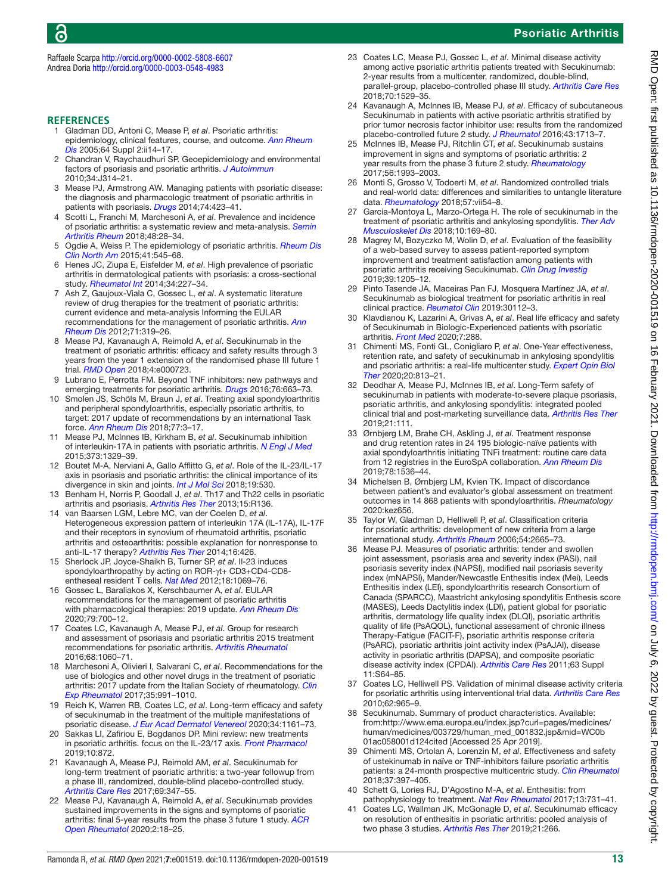# Psoriatic Arthritis

Raffaele Scarpa <http://orcid.org/0000-0002-5808-6607> Andrea Doria<http://orcid.org/0000-0003-0548-4983>

#### **REFERENCES**

- <span id="page-12-0"></span>1 Gladman DD, Antoni C, Mease P, *et al*. Psoriatic arthritis: epidemiology, clinical features, course, and outcome. *[Ann Rheum](http://dx.doi.org/10.1136/ard.2004.032482)  [Dis](http://dx.doi.org/10.1136/ard.2004.032482)* 2005;64 Suppl 2:ii14–17.
- 2 Chandran V, Raychaudhuri SP. Geoepidemiology and environmental factors of psoriasis and psoriatic arthritis. *[J Autoimmun](http://dx.doi.org/10.1016/j.jaut.2009.12.001)* 2010;34:J314–21.
- <span id="page-12-1"></span>3 Mease PJ, Armstrong AW. Managing patients with psoriatic disease: the diagnosis and pharmacologic treatment of psoriatic arthritis in patients with psoriasis. *[Drugs](http://dx.doi.org/10.1007/s40265-014-0191-y)* 2014;74:423–41.
- <span id="page-12-2"></span>4 Scotti L, Franchi M, Marchesoni A, *et al*. Prevalence and incidence of psoriatic arthritis: a systematic review and meta-analysis. *[Semin](http://dx.doi.org/10.1016/j.semarthrit.2018.01.003)  [Arthritis Rheum](http://dx.doi.org/10.1016/j.semarthrit.2018.01.003)* 2018;48:28–34.
- 5 Ogdie A, Weiss P. The epidemiology of psoriatic arthritis. *[Rheum Dis](http://dx.doi.org/10.1016/j.rdc.2015.07.001)  [Clin North Am](http://dx.doi.org/10.1016/j.rdc.2015.07.001)* 2015;41:545–68.
- 6 Henes JC, Ziupa E, Eisfelder M, *et al*. High prevalence of psoriatic arthritis in dermatological patients with psoriasis: a cross-sectional study. *[Rheumatol Int](http://dx.doi.org/10.1007/s00296-013-2876-z)* 2014;34:227–34.
- <span id="page-12-3"></span>7 Ash Z, Gaujoux-Viala C, Gossec L, *et al*. A systematic literature review of drug therapies for the treatment of psoriatic arthritis: current evidence and meta-analysis Informing the EULAR recommendations for the management of psoriatic arthritis. *[Ann](http://dx.doi.org/10.1136/ard.2011.150995)  [Rheum Dis](http://dx.doi.org/10.1136/ard.2011.150995)* 2012;71:319–26.
- 8 Mease PJ, Kavanaugh A, Reimold A, *et al*. Secukinumab in the treatment of psoriatic arthritis: efficacy and safety results through 3 years from the year 1 extension of the randomised phase III future 1 trial. *[RMD Open](http://dx.doi.org/10.1136/rmdopen-2018-000723)* 2018;4:e000723.
- 9 Lubrano E, Perrotta FM. Beyond TNF inhibitors: new pathways and emerging treatments for psoriatic arthritis. *[Drugs](http://dx.doi.org/10.1007/s40265-016-0557-4)* 2016;76:663–73.
- 10 Smolen JS, Schöls M, Braun J, *et al*. Treating axial spondyloarthritis and peripheral spondyloarthritis, especially psoriatic arthritis, to target: 2017 update of recommendations by an international Task force. *[Ann Rheum Dis](http://dx.doi.org/10.1136/annrheumdis-2017-211734)* 2018;77:3–17.
- <span id="page-12-4"></span>11 Mease PJ, McInnes IB, Kirkham B, *et al*. Secukinumab inhibition of interleukin-17A in patients with psoriatic arthritis. *[N Engl J Med](http://dx.doi.org/10.1056/NEJMoa1412679)* 2015;373:1329–39.
- <span id="page-12-5"></span>12 Boutet M-A, Nerviani A, Gallo Afflitto G, *et al*. Role of the IL-23/IL-17 axis in psoriasis and psoriatic arthritis: the clinical importance of its divergence in skin and joints. *[Int J Mol Sci](http://dx.doi.org/10.3390/ijms19020530)* 2018;19:530.
- <span id="page-12-6"></span>13 Benham H, Norris P, Goodall J, *et al*. Th17 and Th22 cells in psoriatic arthritis and psoriasis. *[Arthritis Res Ther](http://dx.doi.org/10.1186/ar4317)* 2013;15:R136.
- 14 van Baarsen LGM, Lebre MC, van der Coelen D, *et al*. Heterogeneous expression pattern of interleukin 17A (IL-17A), IL-17F and their receptors in synovium of rheumatoid arthritis, psoriatic arthritis and osteoarthritis: possible explanation for nonresponse to anti-IL-17 therapy? *[Arthritis Res Ther](http://dx.doi.org/10.1186/s13075-014-0426-z)* 2014;16:426.
- <span id="page-12-7"></span>15 Sherlock JP, Joyce-Shaikh B, Turner SP, *et al*. Il-23 induces spondyloarthropathy by acting on ROR-γt+ CD3+CD4-CD8 entheseal resident T cells. *[Nat Med](http://dx.doi.org/10.1038/nm.2817)* 2012;18:1069–76.
- <span id="page-12-8"></span>16 Gossec L, Baraliakos X, Kerschbaumer A, *et al*. EULAR recommendations for the management of psoriatic arthritis with pharmacological therapies: 2019 update. *[Ann Rheum Dis](http://dx.doi.org/10.1136/annrheumdis-2020-217159)* 2020;79:700–12.
- <span id="page-12-9"></span>17 Coates LC, Kavanaugh A, Mease PJ, *et al*. Group for research and assessment of psoriasis and psoriatic arthritis 2015 treatment recommendations for psoriatic arthritis. *[Arthritis Rheumatol](http://dx.doi.org/10.1002/art.39573)* 2016;68:1060–71.
- <span id="page-12-10"></span>18 Marchesoni A, Olivieri I, Salvarani C, *et al*. Recommendations for the use of biologics and other novel drugs in the treatment of psoriatic arthritis: 2017 update from the Italian Society of rheumatology. *[Clin](http://www.ncbi.nlm.nih.gov/pubmed/29185959)  [Exp Rheumatol](http://www.ncbi.nlm.nih.gov/pubmed/29185959)* 2017;35:991–1010.
- <span id="page-12-11"></span>19 Reich K, Warren RB, Coates LC, et al. Long-term efficacy and safety of secukinumab in the treatment of the multiple manifestations of psoriatic disease. *[J Eur Acad Dermatol Venereol](http://dx.doi.org/10.1111/jdv.16124)* 2020;34:1161–73.
- <span id="page-12-20"></span>20 Sakkas LI, Zafiriou E, Bogdanos DP. Mini review: new treatments in psoriatic arthritis. focus on the IL-23/17 axis. *[Front Pharmacol](http://dx.doi.org/10.3389/fphar.2019.00872)* 2019;10:872.
- <span id="page-12-12"></span>21 Kavanaugh A, Mease PJ, Reimold AM, *et al*. Secukinumab for long-term treatment of psoriatic arthritis: a two-year followup from a phase III, randomized, double-blind placebo-controlled study. *[Arthritis Care Res](http://dx.doi.org/10.1002/acr.23111)* 2017;69:347–55.
- 22 Mease PJ, Kavanaugh A, Reimold A, *et al*. Secukinumab provides sustained improvements in the signs and symptoms of psoriatic arthritis: final 5-year results from the phase 3 future 1 study. *[ACR](http://dx.doi.org/10.1002/acr2.11097)  [Open Rheumatol](http://dx.doi.org/10.1002/acr2.11097)* 2020;2:18–25.
- 23 Coates LC, Mease PJ, Gossec L, *et al*. Minimal disease activity among active psoriatic arthritis patients treated with Secukinumab: 2-year results from a multicenter, randomized, double-blind, parallel-group, placebo-controlled phase III study. *[Arthritis Care Res](http://dx.doi.org/10.1002/acr.23537)* 2018;70:1529–35.
- <span id="page-12-21"></span>24 Kavanaugh A, McInnes IB, Mease PJ, *et al*. Efficacy of subcutaneous Secukinumab in patients with active psoriatic arthritis stratified by prior tumor necrosis factor inhibitor use: results from the randomized placebo-controlled future 2 study. *[J Rheumatol](http://dx.doi.org/10.3899/jrheum.160275)* 2016;43:1713–7.
- 25 McInnes IB, Mease PJ, Ritchlin CT, *et al*. Secukinumab sustains improvement in signs and symptoms of psoriatic arthritis: 2 year results from the phase 3 future 2 study. *[Rheumatology](http://dx.doi.org/10.1093/rheumatology/kex301)* 2017;56:1993–2003.
- 26 Monti S, Grosso V, Todoerti M, *et al*. Randomized controlled trials and real-world data: differences and similarities to untangle literature data. *[Rheumatology](http://dx.doi.org/10.1093/rheumatology/key109)* 2018;57:vii54–8.
- <span id="page-12-13"></span>27 Garcia-Montoya L, Marzo-Ortega H. The role of secukinumab in the treatment of psoriatic arthritis and ankylosing spondylitis. *[Ther Adv](http://dx.doi.org/10.1177/1759720X18787766)  [Musculoskelet Dis](http://dx.doi.org/10.1177/1759720X18787766)* 2018;10:169–80.
- 28 Magrey M, Bozyczko M, Wolin D, *et al*. Evaluation of the feasibility of a web-based survey to assess patient-reported symptom improvement and treatment satisfaction among patients with psoriatic arthritis receiving Secukinumab. *[Clin Drug Investig](http://dx.doi.org/10.1007/s40261-019-00856-8)* 2019;39:1205–12.
- 29 Pinto Tasende JA, Maceiras Pan FJ, Mosquera Martínez JA, *et al*. Secukinumab as biological treatment for psoriatic arthritis in real clinical practice. *[Reumatol Clin](http://dx.doi.org/10.1016/j.reuma.2019.07.002)* 2019:30112–3.
- 30 Klavdianou K, Lazarini A, Grivas A, *et al*. Real life efficacy and safety of Secukinumab in Biologic-Experienced patients with psoriatic arthritis. *[Front Med](http://dx.doi.org/10.3389/fmed.2020.00288)* 2020;7:288.
- <span id="page-12-19"></span>31 Chimenti MS, Fonti GL, Conigliaro P, *et al*. One-Year effectiveness, retention rate, and safety of secukinumab in ankylosing spondylitis and psoriatic arthritis: a real-life multicenter study. *[Expert Opin Biol](http://dx.doi.org/10.1080/14712598.2020.1761957)  [Ther](http://dx.doi.org/10.1080/14712598.2020.1761957)* 2020;20:813–21.
- <span id="page-12-14"></span>32 Deodhar A, Mease PJ, McInnes IB, *et al*. Long-Term safety of secukinumab in patients with moderate-to-severe plaque psoriasis, psoriatic arthritis, and ankylosing spondylitis: integrated pooled clinical trial and post-marketing surveillance data. *[Arthritis Res Ther](http://dx.doi.org/10.1186/s13075-019-1882-2)* 2019;21:111.
- <span id="page-12-22"></span>33 Ørnbjerg LM, Brahe CH, Askling J, *et al*. Treatment response and drug retention rates in 24 195 biologic-naïve patients with axial spondyloarthritis initiating TNFi treatment: routine care data from 12 registries in the EuroSpA collaboration. *[Ann Rheum Dis](http://dx.doi.org/10.1136/annrheumdis-2019-215427)* 2019;78:1536–44.
- <span id="page-12-23"></span>34 Michelsen B, Ørnbjerg LM, Kvien TK. Impact of discordance between patient's and evaluator's global assessment on treatment outcomes in 14 868 patients with spondyloarthritis. *Rheumatology* 2020:kez656.
- <span id="page-12-15"></span>35 Taylor W, Gladman D, Helliwell P, *et al*. Classification criteria for psoriatic arthritis: development of new criteria from a large international study. *[Arthritis Rheum](http://dx.doi.org/10.1002/art.21972)* 2006;54:2665–73.
- <span id="page-12-16"></span>36 Mease PJ. Measures of psoriatic arthritis: tender and swollen joint assessment, psoriasis area and severity index (PASI), nail psoriasis severity index (NAPSI), modified nail psoriasis severity index (mNAPSI), Mander/Newcastle Enthesitis index (Mei), Leeds Enthesitis index (LEI), spondyloarthritis research Consortium of Canada (SPARCC), Maastricht ankylosing spondylitis Enthesis score (MASES), Leeds Dactylitis index (LDI), patient global for psoriatic arthritis, dermatology life quality index (DLQI), psoriatic arthritis quality of life (PsAQOL), functional assessment of chronic illness Therapy-Fatigue (FACIT-F), psoriatic arthritis response criteria (PsARC), psoriatic arthritis joint activity index (PsAJAI), disease activity in psoriatic arthritis (DAPSA), and composite psoriatic disease activity index (CPDAI). *[Arthritis Care Res](http://dx.doi.org/10.1002/acr.20577)* 2011;63 Suppl 11:S64–85.
- <span id="page-12-17"></span>37 Coates LC, Helliwell PS. Validation of minimal disease activity criteria for psoriatic arthritis using interventional trial data. *[Arthritis Care Res](http://dx.doi.org/10.1002/acr.20155)* 2010;62:965–9.
- <span id="page-12-18"></span>38 Secukinumab. Summary of product characteristics. Available: [from:http://www.ema.europa.eu/index.jsp?curl=pages/medicines/](from:http://www.ema.europa.eu/index.jsp?curl=pages/medicines/human/medicines/003729/human_med_001832.jsp&mid=WC0b01ac058001d124cited) [human/medicines/003729/human\\_med\\_001832.jsp&mid=WC0b](from:http://www.ema.europa.eu/index.jsp?curl=pages/medicines/human/medicines/003729/human_med_001832.jsp&mid=WC0b01ac058001d124cited) [01ac058001d124cited](from:http://www.ema.europa.eu/index.jsp?curl=pages/medicines/human/medicines/003729/human_med_001832.jsp&mid=WC0b01ac058001d124cited) [Accessed 25 Apr 2019].
- <span id="page-12-24"></span>39 Chimenti MS, Ortolan A, Lorenzin M, *et al*. Effectiveness and safety of ustekinumab in naïve or TNF-inhibitors failure psoriatic arthritis patients: a 24-month prospective multicentric study. *[Clin Rheumatol](http://dx.doi.org/10.1007/s10067-017-3953-6)* 2018;37:397–405.
- 40 Schett G, Lories RJ, D'Agostino M-A, *et al*. Enthesitis: from pathophysiology to treatment. *[Nat Rev Rheumatol](http://dx.doi.org/10.1038/nrrheum.2017.188)* 2017;13:731–41.
- 41 Coates LC, Wallman JK, McGonagle D, *et al*. Secukinumab efficacy on resolution of enthesitis in psoriatic arthritis: pooled analysis of two phase 3 studies. *[Arthritis Res Ther](http://dx.doi.org/10.1186/s13075-019-2055-z)* 2019;21:266.